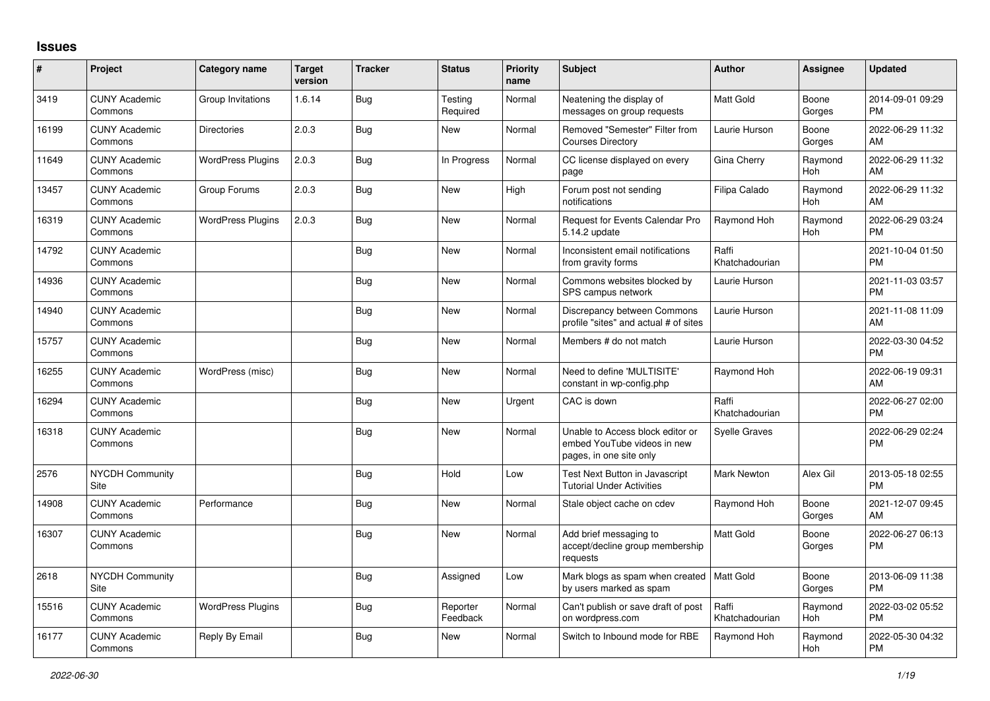## **Issues**

| #     | Project                         | <b>Category name</b>     | <b>Target</b><br>version | <b>Tracker</b> | <b>Status</b>        | <b>Priority</b><br>name | <b>Subject</b>                                                                             | <b>Author</b>           | Assignee        | <b>Updated</b>                |
|-------|---------------------------------|--------------------------|--------------------------|----------------|----------------------|-------------------------|--------------------------------------------------------------------------------------------|-------------------------|-----------------|-------------------------------|
| 3419  | <b>CUNY Academic</b><br>Commons | Group Invitations        | 1.6.14                   | <b>Bug</b>     | Testing<br>Required  | Normal                  | Neatening the display of<br>messages on group requests                                     | <b>Matt Gold</b>        | Boone<br>Gorges | 2014-09-01 09:29<br><b>PM</b> |
| 16199 | <b>CUNY Academic</b><br>Commons | <b>Directories</b>       | 2.0.3                    | Bug            | <b>New</b>           | Normal                  | Removed "Semester" Filter from<br><b>Courses Directory</b>                                 | Laurie Hurson           | Boone<br>Gorges | 2022-06-29 11:32<br>AM        |
| 11649 | <b>CUNY Academic</b><br>Commons | <b>WordPress Plugins</b> | 2.0.3                    | <b>Bug</b>     | In Progress          | Normal                  | CC license displayed on every<br>page                                                      | Gina Cherry             | Raymond<br>Hoh  | 2022-06-29 11:32<br>AM        |
| 13457 | <b>CUNY Academic</b><br>Commons | Group Forums             | 2.0.3                    | Bug            | New                  | High                    | Forum post not sending<br>notifications                                                    | Filipa Calado           | Raymond<br>Hoh  | 2022-06-29 11:32<br>AM        |
| 16319 | <b>CUNY Academic</b><br>Commons | <b>WordPress Plugins</b> | 2.0.3                    | <b>Bug</b>     | New                  | Normal                  | Request for Events Calendar Pro<br>5.14.2 update                                           | Raymond Hoh             | Raymond<br>Hoh  | 2022-06-29 03:24<br><b>PM</b> |
| 14792 | <b>CUNY Academic</b><br>Commons |                          |                          | Bug            | New                  | Normal                  | Inconsistent email notifications<br>from gravity forms                                     | Raffi<br>Khatchadourian |                 | 2021-10-04 01:50<br><b>PM</b> |
| 14936 | <b>CUNY Academic</b><br>Commons |                          |                          | <b>Bug</b>     | <b>New</b>           | Normal                  | Commons websites blocked by<br>SPS campus network                                          | Laurie Hurson           |                 | 2021-11-03 03:57<br><b>PM</b> |
| 14940 | <b>CUNY Academic</b><br>Commons |                          |                          | Bug            | <b>New</b>           | Normal                  | Discrepancy between Commons<br>profile "sites" and actual # of sites                       | Laurie Hurson           |                 | 2021-11-08 11:09<br>AM        |
| 15757 | <b>CUNY Academic</b><br>Commons |                          |                          | Bug            | <b>New</b>           | Normal                  | Members # do not match                                                                     | Laurie Hurson           |                 | 2022-03-30 04:52<br><b>PM</b> |
| 16255 | <b>CUNY Academic</b><br>Commons | WordPress (misc)         |                          | <b>Bug</b>     | New                  | Normal                  | Need to define 'MULTISITE'<br>constant in wp-config.php                                    | Raymond Hoh             |                 | 2022-06-19 09:31<br>AM        |
| 16294 | <b>CUNY Academic</b><br>Commons |                          |                          | <b>Bug</b>     | New                  | Urgent                  | CAC is down                                                                                | Raffi<br>Khatchadourian |                 | 2022-06-27 02:00<br><b>PM</b> |
| 16318 | <b>CUNY Academic</b><br>Commons |                          |                          | Bug            | New                  | Normal                  | Unable to Access block editor or<br>embed YouTube videos in new<br>pages, in one site only | <b>Syelle Graves</b>    |                 | 2022-06-29 02:24<br><b>PM</b> |
| 2576  | <b>NYCDH Community</b><br>Site  |                          |                          | Bug            | Hold                 | Low                     | Test Next Button in Javascript<br><b>Tutorial Under Activities</b>                         | Mark Newton             | Alex Gil        | 2013-05-18 02:55<br><b>PM</b> |
| 14908 | <b>CUNY Academic</b><br>Commons | Performance              |                          | Bug            | <b>New</b>           | Normal                  | Stale object cache on cdev                                                                 | Raymond Hoh             | Boone<br>Gorges | 2021-12-07 09:45<br>AM        |
| 16307 | <b>CUNY Academic</b><br>Commons |                          |                          | Bug            | <b>New</b>           | Normal                  | Add brief messaging to<br>accept/decline group membership<br>requests                      | Matt Gold               | Boone<br>Gorges | 2022-06-27 06:13<br><b>PM</b> |
| 2618  | NYCDH Community<br>Site         |                          |                          | Bug            | Assigned             | Low                     | Mark blogs as spam when created<br>by users marked as spam                                 | Matt Gold               | Boone<br>Gorges | 2013-06-09 11:38<br><b>PM</b> |
| 15516 | <b>CUNY Academic</b><br>Commons | <b>WordPress Plugins</b> |                          | <b>Bug</b>     | Reporter<br>Feedback | Normal                  | Can't publish or save draft of post<br>on wordpress.com                                    | Raffi<br>Khatchadourian | Raymond<br>Hoh  | 2022-03-02 05:52<br><b>PM</b> |
| 16177 | <b>CUNY Academic</b><br>Commons | Reply By Email           |                          | <b>Bug</b>     | <b>New</b>           | Normal                  | Switch to Inbound mode for RBE                                                             | Raymond Hoh             | Raymond<br>Hoh  | 2022-05-30 04:32<br><b>PM</b> |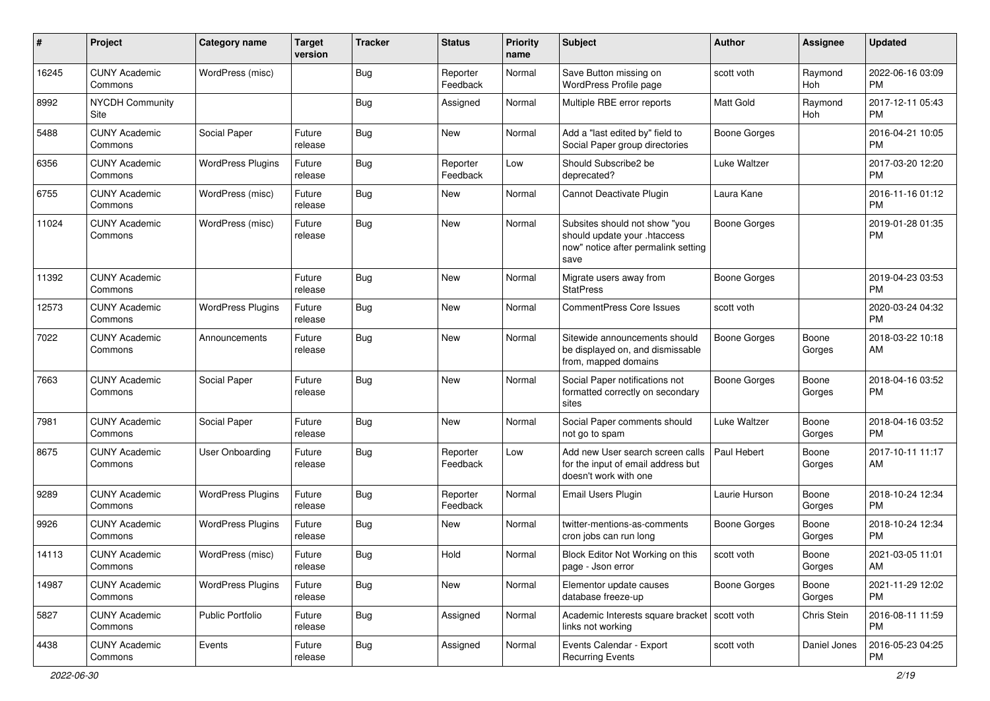| #     | Project                         | Category name            | <b>Target</b><br>version | <b>Tracker</b> | <b>Status</b>        | <b>Priority</b><br>name | <b>Subject</b>                                                                                               | Author              | <b>Assignee</b> | <b>Updated</b>                |
|-------|---------------------------------|--------------------------|--------------------------|----------------|----------------------|-------------------------|--------------------------------------------------------------------------------------------------------------|---------------------|-----------------|-------------------------------|
| 16245 | <b>CUNY Academic</b><br>Commons | WordPress (misc)         |                          | <b>Bug</b>     | Reporter<br>Feedback | Normal                  | Save Button missing on<br>WordPress Profile page                                                             | scott voth          | Raymond<br>Hoh  | 2022-06-16 03:09<br><b>PM</b> |
| 8992  | <b>NYCDH Community</b><br>Site  |                          |                          | <b>Bug</b>     | Assigned             | Normal                  | Multiple RBE error reports                                                                                   | <b>Matt Gold</b>    | Raymond<br>Hoh  | 2017-12-11 05:43<br><b>PM</b> |
| 5488  | <b>CUNY Academic</b><br>Commons | Social Paper             | Future<br>release        | <b>Bug</b>     | <b>New</b>           | Normal                  | Add a "last edited by" field to<br>Social Paper group directories                                            | <b>Boone Gorges</b> |                 | 2016-04-21 10:05<br><b>PM</b> |
| 6356  | <b>CUNY Academic</b><br>Commons | <b>WordPress Plugins</b> | Future<br>release        | Bug            | Reporter<br>Feedback | Low                     | Should Subscribe2 be<br>deprecated?                                                                          | Luke Waltzer        |                 | 2017-03-20 12:20<br><b>PM</b> |
| 6755  | <b>CUNY Academic</b><br>Commons | WordPress (misc)         | Future<br>release        | <b>Bug</b>     | New                  | Normal                  | Cannot Deactivate Plugin                                                                                     | Laura Kane          |                 | 2016-11-16 01:12<br>PM        |
| 11024 | <b>CUNY Academic</b><br>Commons | WordPress (misc)         | Future<br>release        | Bug            | New                  | Normal                  | Subsites should not show "you<br>should update your .htaccess<br>now" notice after permalink setting<br>save | <b>Boone Gorges</b> |                 | 2019-01-28 01:35<br><b>PM</b> |
| 11392 | <b>CUNY Academic</b><br>Commons |                          | Future<br>release        | <b>Bug</b>     | <b>New</b>           | Normal                  | Migrate users away from<br><b>StatPress</b>                                                                  | <b>Boone Gorges</b> |                 | 2019-04-23 03:53<br><b>PM</b> |
| 12573 | <b>CUNY Academic</b><br>Commons | <b>WordPress Plugins</b> | Future<br>release        | Bug            | New                  | Normal                  | <b>CommentPress Core Issues</b>                                                                              | scott voth          |                 | 2020-03-24 04:32<br><b>PM</b> |
| 7022  | <b>CUNY Academic</b><br>Commons | Announcements            | Future<br>release        | Bug            | <b>New</b>           | Normal                  | Sitewide announcements should<br>be displayed on, and dismissable<br>from, mapped domains                    | <b>Boone Gorges</b> | Boone<br>Gorges | 2018-03-22 10:18<br>AM        |
| 7663  | <b>CUNY Academic</b><br>Commons | Social Paper             | Future<br>release        | <b>Bug</b>     | <b>New</b>           | Normal                  | Social Paper notifications not<br>formatted correctly on secondary<br>sites                                  | <b>Boone Gorges</b> | Boone<br>Gorges | 2018-04-16 03:52<br><b>PM</b> |
| 7981  | <b>CUNY Academic</b><br>Commons | Social Paper             | Future<br>release        | <b>Bug</b>     | <b>New</b>           | Normal                  | Social Paper comments should<br>not go to spam                                                               | Luke Waltzer        | Boone<br>Gorges | 2018-04-16 03:52<br><b>PM</b> |
| 8675  | <b>CUNY Academic</b><br>Commons | <b>User Onboarding</b>   | Future<br>release        | Bug            | Reporter<br>Feedback | Low                     | Add new User search screen calls<br>for the input of email address but<br>doesn't work with one              | Paul Hebert         | Boone<br>Gorges | 2017-10-11 11:17<br>AM        |
| 9289  | <b>CUNY Academic</b><br>Commons | <b>WordPress Plugins</b> | Future<br>release        | Bug            | Reporter<br>Feedback | Normal                  | Email Users Plugin                                                                                           | Laurie Hurson       | Boone<br>Gorges | 2018-10-24 12:34<br><b>PM</b> |
| 9926  | <b>CUNY Academic</b><br>Commons | <b>WordPress Plugins</b> | Future<br>release        | Bug            | <b>New</b>           | Normal                  | twitter-mentions-as-comments<br>cron jobs can run long                                                       | Boone Gorges        | Boone<br>Gorges | 2018-10-24 12:34<br><b>PM</b> |
| 14113 | <b>CUNY Academic</b><br>Commons | WordPress (misc)         | Future<br>release        | Bug            | Hold                 | Normal                  | Block Editor Not Working on this<br>page - Json error                                                        | scott voth          | Boone<br>Gorges | 2021-03-05 11:01<br>AM        |
| 14987 | <b>CUNY Academic</b><br>Commons | <b>WordPress Plugins</b> | Future<br>release        | Bug            | New                  | Normal                  | Elementor update causes<br>database freeze-up                                                                | Boone Gorges        | Boone<br>Gorges | 2021-11-29 12:02<br><b>PM</b> |
| 5827  | <b>CUNY Academic</b><br>Commons | Public Portfolio         | Future<br>release        | <b>Bug</b>     | Assigned             | Normal                  | Academic Interests square bracket scott voth<br>links not working                                            |                     | Chris Stein     | 2016-08-11 11:59<br><b>PM</b> |
| 4438  | <b>CUNY Academic</b><br>Commons | Events                   | Future<br>release        | <b>Bug</b>     | Assigned             | Normal                  | Events Calendar - Export<br><b>Recurring Events</b>                                                          | scott voth          | Daniel Jones    | 2016-05-23 04:25<br>PM        |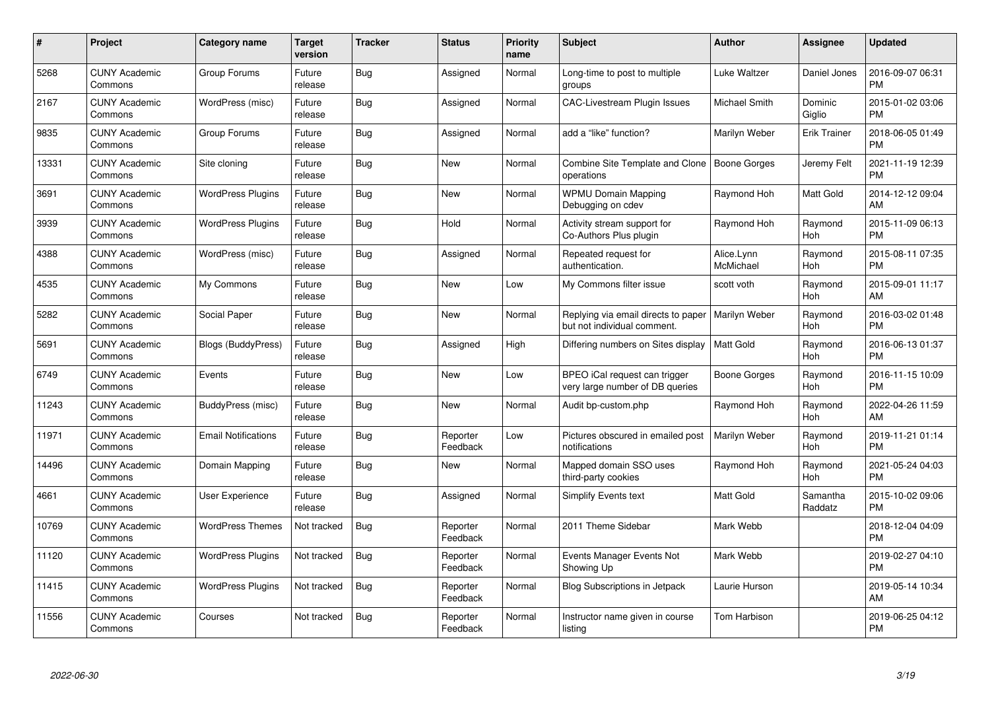| $\#$  | Project                         | <b>Category name</b>       | Target<br>version | <b>Tracker</b> | <b>Status</b>        | Priority<br>name | <b>Subject</b>                                                     | <b>Author</b>           | <b>Assignee</b>     | <b>Updated</b>                |
|-------|---------------------------------|----------------------------|-------------------|----------------|----------------------|------------------|--------------------------------------------------------------------|-------------------------|---------------------|-------------------------------|
| 5268  | <b>CUNY Academic</b><br>Commons | Group Forums               | Future<br>release | Bug            | Assigned             | Normal           | Long-time to post to multiple<br>groups                            | Luke Waltzer            | Daniel Jones        | 2016-09-07 06:31<br><b>PM</b> |
| 2167  | <b>CUNY Academic</b><br>Commons | WordPress (misc)           | Future<br>release | Bug            | Assigned             | Normal           | <b>CAC-Livestream Plugin Issues</b>                                | Michael Smith           | Dominic<br>Giglio   | 2015-01-02 03:06<br><b>PM</b> |
| 9835  | <b>CUNY Academic</b><br>Commons | Group Forums               | Future<br>release | Bug            | Assigned             | Normal           | add a "like" function?                                             | Marilyn Weber           | <b>Erik Trainer</b> | 2018-06-05 01:49<br><b>PM</b> |
| 13331 | <b>CUNY Academic</b><br>Commons | Site cloning               | Future<br>release | Bug            | <b>New</b>           | Normal           | Combine Site Template and Clone<br>operations                      | Boone Gorges            | Jeremy Felt         | 2021-11-19 12:39<br><b>PM</b> |
| 3691  | <b>CUNY Academic</b><br>Commons | <b>WordPress Plugins</b>   | Future<br>release | Bug            | <b>New</b>           | Normal           | <b>WPMU Domain Mapping</b><br>Debugging on cdev                    | Raymond Hoh             | Matt Gold           | 2014-12-12 09:04<br>AM        |
| 3939  | <b>CUNY Academic</b><br>Commons | <b>WordPress Plugins</b>   | Future<br>release | <b>Bug</b>     | Hold                 | Normal           | Activity stream support for<br>Co-Authors Plus plugin              | Raymond Hoh             | Raymond<br>Hoh      | 2015-11-09 06:13<br><b>PM</b> |
| 4388  | <b>CUNY Academic</b><br>Commons | WordPress (misc)           | Future<br>release | Bug            | Assigned             | Normal           | Repeated request for<br>authentication.                            | Alice.Lynn<br>McMichael | Raymond<br>Hoh      | 2015-08-11 07:35<br><b>PM</b> |
| 4535  | <b>CUNY Academic</b><br>Commons | My Commons                 | Future<br>release | Bug            | <b>New</b>           | Low              | My Commons filter issue                                            | scott voth              | Raymond<br>Hoh      | 2015-09-01 11:17<br>AM        |
| 5282  | <b>CUNY Academic</b><br>Commons | Social Paper               | Future<br>release | Bug            | <b>New</b>           | Normal           | Replying via email directs to paper<br>but not individual comment. | Marilyn Weber           | Raymond<br>Hoh      | 2016-03-02 01:48<br><b>PM</b> |
| 5691  | <b>CUNY Academic</b><br>Commons | Blogs (BuddyPress)         | Future<br>release | Bug            | Assigned             | High             | Differing numbers on Sites display                                 | <b>Matt Gold</b>        | Raymond<br>Hoh      | 2016-06-13 01:37<br><b>PM</b> |
| 6749  | <b>CUNY Academic</b><br>Commons | Events                     | Future<br>release | Bug            | <b>New</b>           | Low              | BPEO iCal request can trigger<br>very large number of DB queries   | Boone Gorges            | Raymond<br>Hoh      | 2016-11-15 10:09<br><b>PM</b> |
| 11243 | <b>CUNY Academic</b><br>Commons | BuddyPress (misc)          | Future<br>release | Bug            | <b>New</b>           | Normal           | Audit bp-custom.php                                                | Raymond Hoh             | Raymond<br>Hoh      | 2022-04-26 11:59<br>AM        |
| 11971 | <b>CUNY Academic</b><br>Commons | <b>Email Notifications</b> | Future<br>release | Bug            | Reporter<br>Feedback | Low              | Pictures obscured in emailed post<br>notifications                 | Marilyn Weber           | Raymond<br>Hoh      | 2019-11-21 01:14<br><b>PM</b> |
| 14496 | <b>CUNY Academic</b><br>Commons | Domain Mapping             | Future<br>release | Bug            | <b>New</b>           | Normal           | Mapped domain SSO uses<br>third-party cookies                      | Raymond Hoh             | Raymond<br>Hoh      | 2021-05-24 04:03<br><b>PM</b> |
| 4661  | <b>CUNY Academic</b><br>Commons | User Experience            | Future<br>release | Bug            | Assigned             | Normal           | Simplify Events text                                               | <b>Matt Gold</b>        | Samantha<br>Raddatz | 2015-10-02 09:06<br><b>PM</b> |
| 10769 | <b>CUNY Academic</b><br>Commons | <b>WordPress Themes</b>    | Not tracked       | Bug            | Reporter<br>Feedback | Normal           | 2011 Theme Sidebar                                                 | Mark Webb               |                     | 2018-12-04 04:09<br><b>PM</b> |
| 11120 | <b>CUNY Academic</b><br>Commons | <b>WordPress Plugins</b>   | Not tracked       | Bug            | Reporter<br>Feedback | Normal           | Events Manager Events Not<br>Showing Up                            | Mark Webb               |                     | 2019-02-27 04:10<br><b>PM</b> |
| 11415 | <b>CUNY Academic</b><br>Commons | <b>WordPress Plugins</b>   | Not tracked       | Bug            | Reporter<br>Feedback | Normal           | <b>Blog Subscriptions in Jetpack</b>                               | Laurie Hurson           |                     | 2019-05-14 10:34<br>AM        |
| 11556 | <b>CUNY Academic</b><br>Commons | Courses                    | Not tracked       | <b>Bug</b>     | Reporter<br>Feedback | Normal           | Instructor name given in course<br>listing                         | Tom Harbison            |                     | 2019-06-25 04:12<br><b>PM</b> |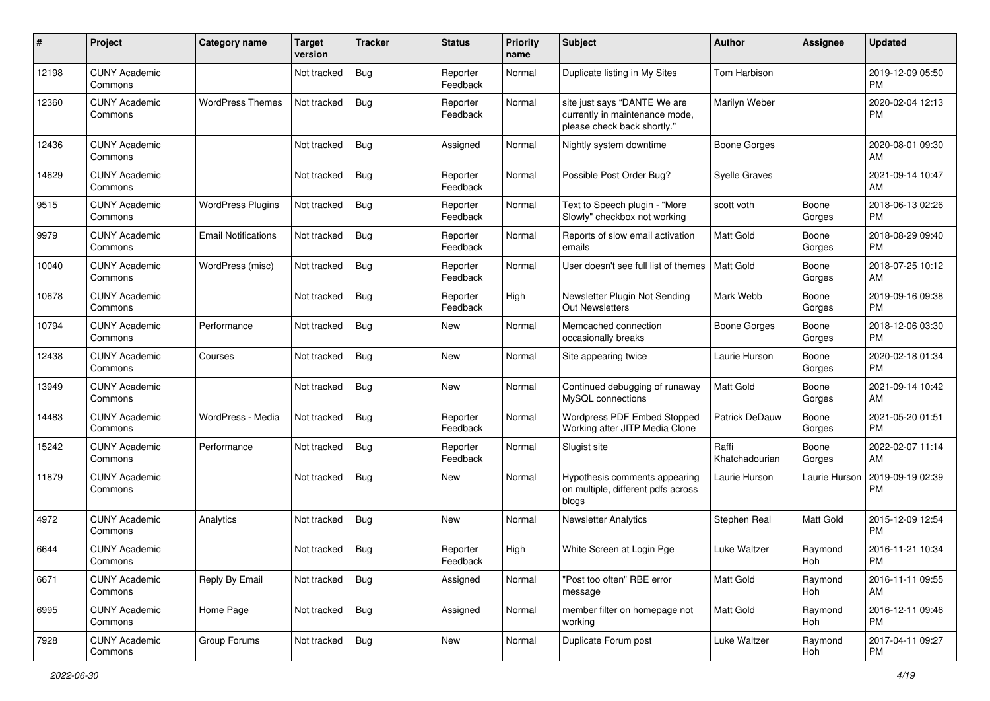| #     | Project                         | <b>Category name</b>       | <b>Target</b><br>version | <b>Tracker</b> | <b>Status</b>        | Priority<br>name | <b>Subject</b>                                                                                | Author                  | <b>Assignee</b> | <b>Updated</b>                |
|-------|---------------------------------|----------------------------|--------------------------|----------------|----------------------|------------------|-----------------------------------------------------------------------------------------------|-------------------------|-----------------|-------------------------------|
| 12198 | <b>CUNY Academic</b><br>Commons |                            | Not tracked              | Bug            | Reporter<br>Feedback | Normal           | Duplicate listing in My Sites                                                                 | Tom Harbison            |                 | 2019-12-09 05:50<br>PM        |
| 12360 | <b>CUNY Academic</b><br>Commons | <b>WordPress Themes</b>    | Not tracked              | Bug            | Reporter<br>Feedback | Normal           | site just says "DANTE We are<br>currently in maintenance mode,<br>please check back shortly." | Marilyn Weber           |                 | 2020-02-04 12:13<br><b>PM</b> |
| 12436 | <b>CUNY Academic</b><br>Commons |                            | Not tracked              | Bug            | Assigned             | Normal           | Nightly system downtime                                                                       | <b>Boone Gorges</b>     |                 | 2020-08-01 09:30<br>AM        |
| 14629 | <b>CUNY Academic</b><br>Commons |                            | Not tracked              | <b>Bug</b>     | Reporter<br>Feedback | Normal           | Possible Post Order Bug?                                                                      | <b>Syelle Graves</b>    |                 | 2021-09-14 10:47<br>AM        |
| 9515  | <b>CUNY Academic</b><br>Commons | <b>WordPress Plugins</b>   | Not tracked              | Bug            | Reporter<br>Feedback | Normal           | Text to Speech plugin - "More<br>Slowly" checkbox not working                                 | scott voth              | Boone<br>Gorges | 2018-06-13 02:26<br><b>PM</b> |
| 9979  | <b>CUNY Academic</b><br>Commons | <b>Email Notifications</b> | Not tracked              | <b>Bug</b>     | Reporter<br>Feedback | Normal           | Reports of slow email activation<br>emails                                                    | <b>Matt Gold</b>        | Boone<br>Gorges | 2018-08-29 09:40<br><b>PM</b> |
| 10040 | <b>CUNY Academic</b><br>Commons | WordPress (misc)           | Not tracked              | Bug            | Reporter<br>Feedback | Normal           | User doesn't see full list of themes                                                          | Matt Gold               | Boone<br>Gorges | 2018-07-25 10:12<br>AM        |
| 10678 | <b>CUNY Academic</b><br>Commons |                            | Not tracked              | Bug            | Reporter<br>Feedback | High             | Newsletter Plugin Not Sending<br>Out Newsletters                                              | Mark Webb               | Boone<br>Gorges | 2019-09-16 09:38<br><b>PM</b> |
| 10794 | <b>CUNY Academic</b><br>Commons | Performance                | Not tracked              | Bug            | <b>New</b>           | Normal           | Memcached connection<br>occasionally breaks                                                   | <b>Boone Gorges</b>     | Boone<br>Gorges | 2018-12-06 03:30<br>PM.       |
| 12438 | <b>CUNY Academic</b><br>Commons | Courses                    | Not tracked              | <b>Bug</b>     | <b>New</b>           | Normal           | Site appearing twice                                                                          | Laurie Hurson           | Boone<br>Gorges | 2020-02-18 01:34<br><b>PM</b> |
| 13949 | <b>CUNY Academic</b><br>Commons |                            | Not tracked              | Bug            | New                  | Normal           | Continued debugging of runaway<br>MySQL connections                                           | <b>Matt Gold</b>        | Boone<br>Gorges | 2021-09-14 10:42<br>AM        |
| 14483 | <b>CUNY Academic</b><br>Commons | WordPress - Media          | Not tracked              | Bug            | Reporter<br>Feedback | Normal           | Wordpress PDF Embed Stopped<br>Working after JITP Media Clone                                 | Patrick DeDauw          | Boone<br>Gorges | 2021-05-20 01:51<br><b>PM</b> |
| 15242 | <b>CUNY Academic</b><br>Commons | Performance                | Not tracked              | Bug            | Reporter<br>Feedback | Normal           | Slugist site                                                                                  | Raffi<br>Khatchadourian | Boone<br>Gorges | 2022-02-07 11:14<br>AM        |
| 11879 | <b>CUNY Academic</b><br>Commons |                            | Not tracked              | Bug            | New                  | Normal           | Hypothesis comments appearing<br>on multiple, different pdfs across<br>blogs                  | Laurie Hurson           | Laurie Hurson   | 2019-09-19 02:39<br><b>PM</b> |
| 4972  | <b>CUNY Academic</b><br>Commons | Analytics                  | Not tracked              | Bug            | New                  | Normal           | <b>Newsletter Analytics</b>                                                                   | Stephen Real            | Matt Gold       | 2015-12-09 12:54<br><b>PM</b> |
| 6644  | <b>CUNY Academic</b><br>Commons |                            | Not tracked              | <b>Bug</b>     | Reporter<br>Feedback | High             | White Screen at Login Pge                                                                     | Luke Waltzer            | Raymond<br>Hoh  | 2016-11-21 10:34<br>PM        |
| 6671  | <b>CUNY Academic</b><br>Commons | Reply By Email             | Not tracked              | Bug            | Assigned             | Normal           | "Post too often" RBE error<br>message                                                         | Matt Gold               | Raymond<br>Hoh  | 2016-11-11 09:55<br>AM        |
| 6995  | <b>CUNY Academic</b><br>Commons | Home Page                  | Not tracked              | Bug            | Assigned             | Normal           | member filter on homepage not<br>working                                                      | Matt Gold               | Raymond<br>Hoh  | 2016-12-11 09:46<br><b>PM</b> |
| 7928  | <b>CUNY Academic</b><br>Commons | Group Forums               | Not tracked              | Bug            | New                  | Normal           | Duplicate Forum post                                                                          | Luke Waltzer            | Raymond<br>Hoh  | 2017-04-11 09:27<br><b>PM</b> |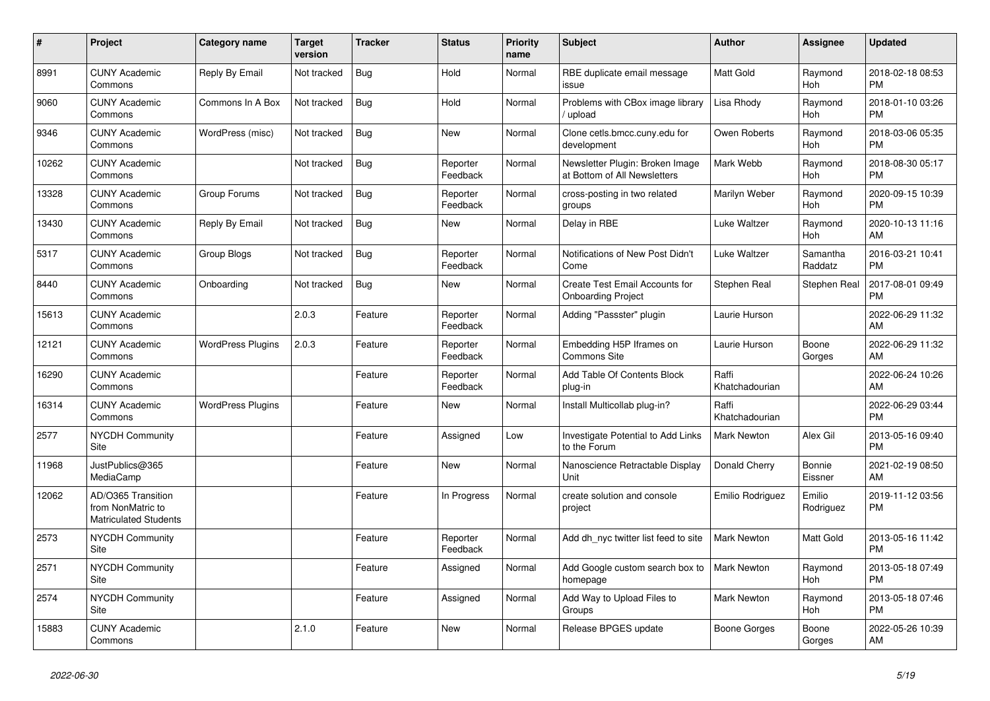| #     | Project                                                                 | <b>Category name</b>     | <b>Target</b><br>version | <b>Tracker</b> | <b>Status</b>        | <b>Priority</b><br>name | <b>Subject</b>                                                  | <b>Author</b>           | Assignee            | <b>Updated</b>                |
|-------|-------------------------------------------------------------------------|--------------------------|--------------------------|----------------|----------------------|-------------------------|-----------------------------------------------------------------|-------------------------|---------------------|-------------------------------|
| 8991  | <b>CUNY Academic</b><br>Commons                                         | Reply By Email           | Not tracked              | Bug            | Hold                 | Normal                  | RBE duplicate email message<br>issue                            | <b>Matt Gold</b>        | Raymond<br>Hoh      | 2018-02-18 08:53<br><b>PM</b> |
| 9060  | <b>CUNY Academic</b><br>Commons                                         | Commons In A Box         | Not tracked              | Bug            | Hold                 | Normal                  | Problems with CBox image library<br>/ upload                    | Lisa Rhody              | Raymond<br>Hoh      | 2018-01-10 03:26<br><b>PM</b> |
| 9346  | <b>CUNY Academic</b><br>Commons                                         | WordPress (misc)         | Not tracked              | Bug            | New                  | Normal                  | Clone cetls.bmcc.cuny.edu for<br>development                    | Owen Roberts            | Raymond<br>Hoh      | 2018-03-06 05:35<br><b>PM</b> |
| 10262 | <b>CUNY Academic</b><br>Commons                                         |                          | Not tracked              | <b>Bug</b>     | Reporter<br>Feedback | Normal                  | Newsletter Plugin: Broken Image<br>at Bottom of All Newsletters | Mark Webb               | Raymond<br>Hoh      | 2018-08-30 05:17<br><b>PM</b> |
| 13328 | <b>CUNY Academic</b><br>Commons                                         | Group Forums             | Not tracked              | Bug            | Reporter<br>Feedback | Normal                  | cross-posting in two related<br>groups                          | Marilyn Weber           | Raymond<br>Hoh      | 2020-09-15 10:39<br><b>PM</b> |
| 13430 | <b>CUNY Academic</b><br>Commons                                         | Reply By Email           | Not tracked              | <b>Bug</b>     | New                  | Normal                  | Delay in RBE                                                    | Luke Waltzer            | Raymond<br>Hoh      | 2020-10-13 11:16<br>AM        |
| 5317  | <b>CUNY Academic</b><br>Commons                                         | Group Blogs              | Not tracked              | <b>Bug</b>     | Reporter<br>Feedback | Normal                  | Notifications of New Post Didn't<br>Come                        | Luke Waltzer            | Samantha<br>Raddatz | 2016-03-21 10:41<br><b>PM</b> |
| 8440  | <b>CUNY Academic</b><br>Commons                                         | Onboarding               | Not tracked              | <b>Bug</b>     | New                  | Normal                  | Create Test Email Accounts for<br><b>Onboarding Project</b>     | Stephen Real            | Stephen Real        | 2017-08-01 09:49<br><b>PM</b> |
| 15613 | <b>CUNY Academic</b><br>Commons                                         |                          | 2.0.3                    | Feature        | Reporter<br>Feedback | Normal                  | Adding "Passster" plugin                                        | Laurie Hurson           |                     | 2022-06-29 11:32<br>AM        |
| 12121 | <b>CUNY Academic</b><br>Commons                                         | <b>WordPress Plugins</b> | 2.0.3                    | Feature        | Reporter<br>Feedback | Normal                  | Embedding H5P Iframes on<br><b>Commons Site</b>                 | Laurie Hurson           | Boone<br>Gorges     | 2022-06-29 11:32<br>AM        |
| 16290 | <b>CUNY Academic</b><br>Commons                                         |                          |                          | Feature        | Reporter<br>Feedback | Normal                  | Add Table Of Contents Block<br>plug-in                          | Raffi<br>Khatchadourian |                     | 2022-06-24 10:26<br>AM        |
| 16314 | <b>CUNY Academic</b><br>Commons                                         | <b>WordPress Plugins</b> |                          | Feature        | New                  | Normal                  | Install Multicollab plug-in?                                    | Raffi<br>Khatchadourian |                     | 2022-06-29 03:44<br><b>PM</b> |
| 2577  | <b>NYCDH Community</b><br><b>Site</b>                                   |                          |                          | Feature        | Assigned             | Low                     | Investigate Potential to Add Links<br>to the Forum              | <b>Mark Newton</b>      | Alex Gil            | 2013-05-16 09:40<br><b>PM</b> |
| 11968 | JustPublics@365<br>MediaCamp                                            |                          |                          | Feature        | <b>New</b>           | Normal                  | Nanoscience Retractable Display<br>Unit                         | Donald Cherry           | Bonnie<br>Eissner   | 2021-02-19 08:50<br>AM        |
| 12062 | AD/O365 Transition<br>from NonMatric to<br><b>Matriculated Students</b> |                          |                          | Feature        | In Progress          | Normal                  | create solution and console<br>project                          | Emilio Rodriguez        | Emilio<br>Rodriguez | 2019-11-12 03:56<br><b>PM</b> |
| 2573  | <b>NYCDH Community</b><br><b>Site</b>                                   |                          |                          | Feature        | Reporter<br>Feedback | Normal                  | Add dh nyc twitter list feed to site                            | Mark Newton             | Matt Gold           | 2013-05-16 11:42<br><b>PM</b> |
| 2571  | <b>NYCDH Community</b><br><b>Site</b>                                   |                          |                          | Feature        | Assigned             | Normal                  | Add Google custom search box to<br>homepage                     | Mark Newton             | Raymond<br>Hoh      | 2013-05-18 07:49<br><b>PM</b> |
| 2574  | <b>NYCDH Community</b><br>Site                                          |                          |                          | Feature        | Assigned             | Normal                  | Add Way to Upload Files to<br>Groups                            | <b>Mark Newton</b>      | Raymond<br>Hoh      | 2013-05-18 07:46<br><b>PM</b> |
| 15883 | <b>CUNY Academic</b><br>Commons                                         |                          | 2.1.0                    | Feature        | <b>New</b>           | Normal                  | Release BPGES update                                            | Boone Gorges            | Boone<br>Gorges     | 2022-05-26 10:39<br>AM        |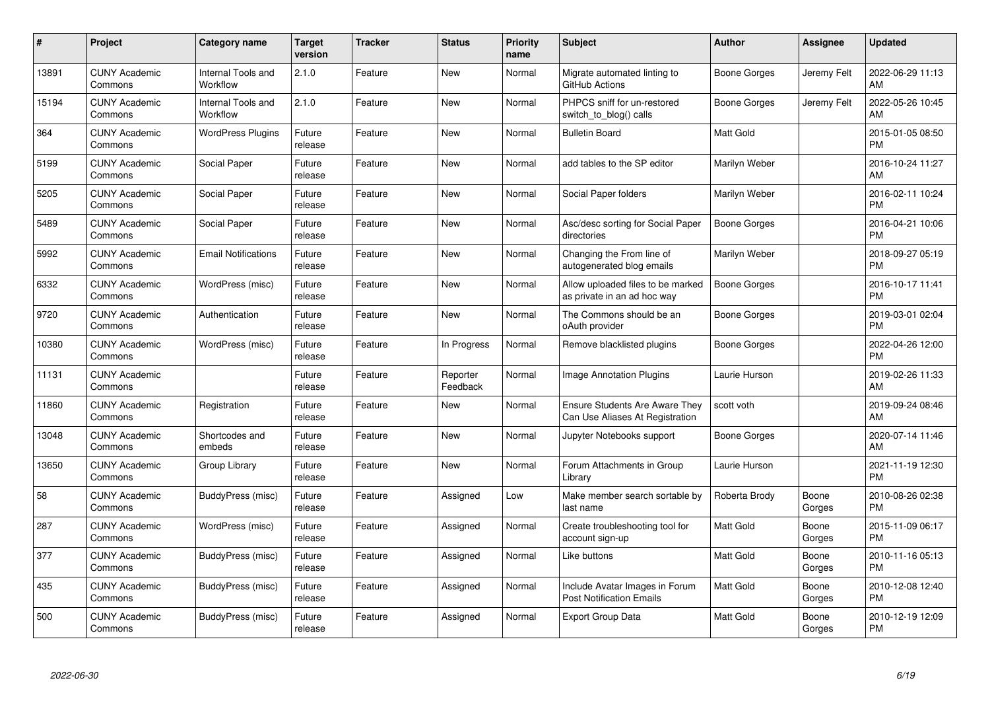| $\pmb{\#}$ | Project                         | <b>Category name</b>                  | <b>Target</b><br>version | <b>Tracker</b> | <b>Status</b>        | Priority<br>name | <b>Subject</b>                                                           | <b>Author</b>       | <b>Assignee</b> | <b>Updated</b>                |
|------------|---------------------------------|---------------------------------------|--------------------------|----------------|----------------------|------------------|--------------------------------------------------------------------------|---------------------|-----------------|-------------------------------|
| 13891      | <b>CUNY Academic</b><br>Commons | <b>Internal Tools and</b><br>Workflow | 2.1.0                    | Feature        | <b>New</b>           | Normal           | Migrate automated linting to<br>GitHub Actions                           | Boone Gorges        | Jeremy Felt     | 2022-06-29 11:13<br>AM        |
| 15194      | <b>CUNY Academic</b><br>Commons | Internal Tools and<br>Workflow        | 2.1.0                    | Feature        | <b>New</b>           | Normal           | PHPCS sniff for un-restored<br>switch_to_blog() calls                    | Boone Gorges        | Jeremy Felt     | 2022-05-26 10:45<br>AM        |
| 364        | <b>CUNY Academic</b><br>Commons | <b>WordPress Plugins</b>              | Future<br>release        | Feature        | <b>New</b>           | Normal           | <b>Bulletin Board</b>                                                    | Matt Gold           |                 | 2015-01-05 08:50<br><b>PM</b> |
| 5199       | <b>CUNY Academic</b><br>Commons | Social Paper                          | Future<br>release        | Feature        | <b>New</b>           | Normal           | add tables to the SP editor                                              | Marilyn Weber       |                 | 2016-10-24 11:27<br>AM        |
| 5205       | <b>CUNY Academic</b><br>Commons | Social Paper                          | Future<br>release        | Feature        | <b>New</b>           | Normal           | Social Paper folders                                                     | Marilyn Weber       |                 | 2016-02-11 10:24<br><b>PM</b> |
| 5489       | <b>CUNY Academic</b><br>Commons | Social Paper                          | Future<br>release        | Feature        | <b>New</b>           | Normal           | Asc/desc sorting for Social Paper<br>directories                         | <b>Boone Gorges</b> |                 | 2016-04-21 10:06<br><b>PM</b> |
| 5992       | <b>CUNY Academic</b><br>Commons | <b>Email Notifications</b>            | Future<br>release        | Feature        | New                  | Normal           | Changing the From line of<br>autogenerated blog emails                   | Marilyn Weber       |                 | 2018-09-27 05:19<br><b>PM</b> |
| 6332       | <b>CUNY Academic</b><br>Commons | WordPress (misc)                      | Future<br>release        | Feature        | New                  | Normal           | Allow uploaded files to be marked<br>as private in an ad hoc way         | <b>Boone Gorges</b> |                 | 2016-10-17 11:41<br><b>PM</b> |
| 9720       | <b>CUNY Academic</b><br>Commons | Authentication                        | Future<br>release        | Feature        | New                  | Normal           | The Commons should be an<br>oAuth provider                               | Boone Gorges        |                 | 2019-03-01 02:04<br><b>PM</b> |
| 10380      | <b>CUNY Academic</b><br>Commons | WordPress (misc)                      | Future<br>release        | Feature        | In Progress          | Normal           | Remove blacklisted plugins                                               | <b>Boone Gorges</b> |                 | 2022-04-26 12:00<br><b>PM</b> |
| 11131      | <b>CUNY Academic</b><br>Commons |                                       | Future<br>release        | Feature        | Reporter<br>Feedback | Normal           | Image Annotation Plugins                                                 | Laurie Hurson       |                 | 2019-02-26 11:33<br>AM        |
| 11860      | <b>CUNY Academic</b><br>Commons | Registration                          | Future<br>release        | Feature        | New                  | Normal           | <b>Ensure Students Are Aware They</b><br>Can Use Aliases At Registration | scott voth          |                 | 2019-09-24 08:46<br>AM        |
| 13048      | <b>CUNY Academic</b><br>Commons | Shortcodes and<br>embeds              | Future<br>release        | Feature        | <b>New</b>           | Normal           | Jupyter Notebooks support                                                | Boone Gorges        |                 | 2020-07-14 11:46<br>AM        |
| 13650      | <b>CUNY Academic</b><br>Commons | Group Library                         | Future<br>release        | Feature        | New                  | Normal           | Forum Attachments in Group<br>Library                                    | Laurie Hurson       |                 | 2021-11-19 12:30<br><b>PM</b> |
| 58         | <b>CUNY Academic</b><br>Commons | BuddyPress (misc)                     | Future<br>release        | Feature        | Assigned             | Low              | Make member search sortable by<br>last name                              | Roberta Brody       | Boone<br>Gorges | 2010-08-26 02:38<br><b>PM</b> |
| 287        | <b>CUNY Academic</b><br>Commons | WordPress (misc)                      | Future<br>release        | Feature        | Assigned             | Normal           | Create troubleshooting tool for<br>account sign-up                       | <b>Matt Gold</b>    | Boone<br>Gorges | 2015-11-09 06:17<br><b>PM</b> |
| 377        | <b>CUNY Academic</b><br>Commons | BuddyPress (misc)                     | Future<br>release        | Feature        | Assigned             | Normal           | Like buttons                                                             | <b>Matt Gold</b>    | Boone<br>Gorges | 2010-11-16 05:13<br><b>PM</b> |
| 435        | <b>CUNY Academic</b><br>Commons | BuddyPress (misc)                     | Future<br>release        | Feature        | Assigned             | Normal           | Include Avatar Images in Forum<br><b>Post Notification Emails</b>        | <b>Matt Gold</b>    | Boone<br>Gorges | 2010-12-08 12:40<br><b>PM</b> |
| 500        | <b>CUNY Academic</b><br>Commons | BuddyPress (misc)                     | Future<br>release        | Feature        | Assigned             | Normal           | <b>Export Group Data</b>                                                 | Matt Gold           | Boone<br>Gorges | 2010-12-19 12:09<br><b>PM</b> |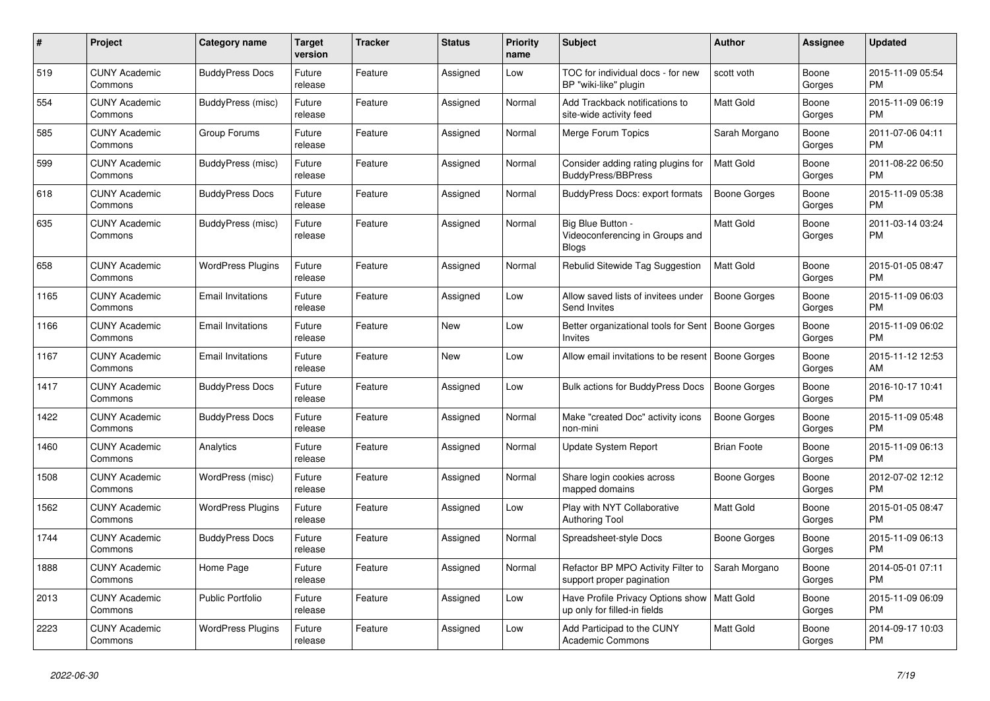| #    | <b>Project</b>                  | Category name            | Target<br>version | <b>Tracker</b> | <b>Status</b> | Priority<br>name | <b>Subject</b>                                                       | <b>Author</b>       | Assignee        | <b>Updated</b>                |
|------|---------------------------------|--------------------------|-------------------|----------------|---------------|------------------|----------------------------------------------------------------------|---------------------|-----------------|-------------------------------|
| 519  | <b>CUNY Academic</b><br>Commons | <b>BuddyPress Docs</b>   | Future<br>release | Feature        | Assigned      | Low              | TOC for individual docs - for new<br>BP "wiki-like" plugin           | scott voth          | Boone<br>Gorges | 2015-11-09 05:54<br><b>PM</b> |
| 554  | <b>CUNY Academic</b><br>Commons | BuddyPress (misc)        | Future<br>release | Feature        | Assigned      | Normal           | Add Trackback notifications to<br>site-wide activity feed            | Matt Gold           | Boone<br>Gorges | 2015-11-09 06:19<br>PM.       |
| 585  | <b>CUNY Academic</b><br>Commons | Group Forums             | Future<br>release | Feature        | Assigned      | Normal           | Merge Forum Topics                                                   | Sarah Morgano       | Boone<br>Gorges | 2011-07-06 04:11<br><b>PM</b> |
| 599  | <b>CUNY Academic</b><br>Commons | BuddyPress (misc)        | Future<br>release | Feature        | Assigned      | Normal           | Consider adding rating plugins for<br><b>BuddyPress/BBPress</b>      | <b>Matt Gold</b>    | Boone<br>Gorges | 2011-08-22 06:50<br><b>PM</b> |
| 618  | <b>CUNY Academic</b><br>Commons | <b>BuddyPress Docs</b>   | Future<br>release | Feature        | Assigned      | Normal           | BuddyPress Docs: export formats                                      | <b>Boone Gorges</b> | Boone<br>Gorges | 2015-11-09 05:38<br><b>PM</b> |
| 635  | <b>CUNY Academic</b><br>Commons | BuddyPress (misc)        | Future<br>release | Feature        | Assigned      | Normal           | Big Blue Button -<br>Videoconferencing in Groups and<br><b>Blogs</b> | Matt Gold           | Boone<br>Gorges | 2011-03-14 03:24<br><b>PM</b> |
| 658  | <b>CUNY Academic</b><br>Commons | <b>WordPress Plugins</b> | Future<br>release | Feature        | Assigned      | Normal           | Rebulid Sitewide Tag Suggestion                                      | <b>Matt Gold</b>    | Boone<br>Gorges | 2015-01-05 08:47<br><b>PM</b> |
| 1165 | <b>CUNY Academic</b><br>Commons | <b>Email Invitations</b> | Future<br>release | Feature        | Assigned      | Low              | Allow saved lists of invitees under<br>Send Invites                  | Boone Gorges        | Boone<br>Gorges | 2015-11-09 06:03<br><b>PM</b> |
| 1166 | <b>CUNY Academic</b><br>Commons | <b>Email Invitations</b> | Future<br>release | Feature        | New           | Low              | Better organizational tools for Sent<br>Invites                      | Boone Gorges        | Boone<br>Gorges | 2015-11-09 06:02<br>PM.       |
| 1167 | <b>CUNY Academic</b><br>Commons | <b>Email Invitations</b> | Future<br>release | Feature        | <b>New</b>    | Low              | Allow email invitations to be resent                                 | Boone Gorges        | Boone<br>Gorges | 2015-11-12 12:53<br>AM        |
| 1417 | <b>CUNY Academic</b><br>Commons | <b>BuddyPress Docs</b>   | Future<br>release | Feature        | Assigned      | Low              | <b>Bulk actions for BuddyPress Docs</b>                              | <b>Boone Gorges</b> | Boone<br>Gorges | 2016-10-17 10:41<br><b>PM</b> |
| 1422 | <b>CUNY Academic</b><br>Commons | <b>BuddyPress Docs</b>   | Future<br>release | Feature        | Assigned      | Normal           | Make "created Doc" activity icons<br>non-mini                        | Boone Gorges        | Boone<br>Gorges | 2015-11-09 05:48<br><b>PM</b> |
| 1460 | <b>CUNY Academic</b><br>Commons | Analytics                | Future<br>release | Feature        | Assigned      | Normal           | Update System Report                                                 | <b>Brian Foote</b>  | Boone<br>Gorges | 2015-11-09 06:13<br><b>PM</b> |
| 1508 | <b>CUNY Academic</b><br>Commons | WordPress (misc)         | Future<br>release | Feature        | Assigned      | Normal           | Share login cookies across<br>mapped domains                         | Boone Gorges        | Boone<br>Gorges | 2012-07-02 12:12<br><b>PM</b> |
| 1562 | <b>CUNY Academic</b><br>Commons | <b>WordPress Plugins</b> | Future<br>release | Feature        | Assigned      | Low              | Play with NYT Collaborative<br><b>Authoring Tool</b>                 | Matt Gold           | Boone<br>Gorges | 2015-01-05 08:47<br><b>PM</b> |
| 1744 | <b>CUNY Academic</b><br>Commons | <b>BuddyPress Docs</b>   | Future<br>release | Feature        | Assigned      | Normal           | Spreadsheet-style Docs                                               | Boone Gorges        | Boone<br>Gorges | 2015-11-09 06:13<br><b>PM</b> |
| 1888 | <b>CUNY Academic</b><br>Commons | Home Page                | Future<br>release | Feature        | Assigned      | Normal           | Refactor BP MPO Activity Filter to<br>support proper pagination      | Sarah Morgano       | Boone<br>Gorges | 2014-05-01 07:11<br><b>PM</b> |
| 2013 | <b>CUNY Academic</b><br>Commons | <b>Public Portfolio</b>  | Future<br>release | Feature        | Assigned      | Low              | Have Profile Privacy Options show<br>up only for filled-in fields    | <b>Matt Gold</b>    | Boone<br>Gorges | 2015-11-09 06:09<br><b>PM</b> |
| 2223 | <b>CUNY Academic</b><br>Commons | <b>WordPress Plugins</b> | Future<br>release | Feature        | Assigned      | Low              | Add Participad to the CUNY<br>Academic Commons                       | Matt Gold           | Boone<br>Gorges | 2014-09-17 10:03<br><b>PM</b> |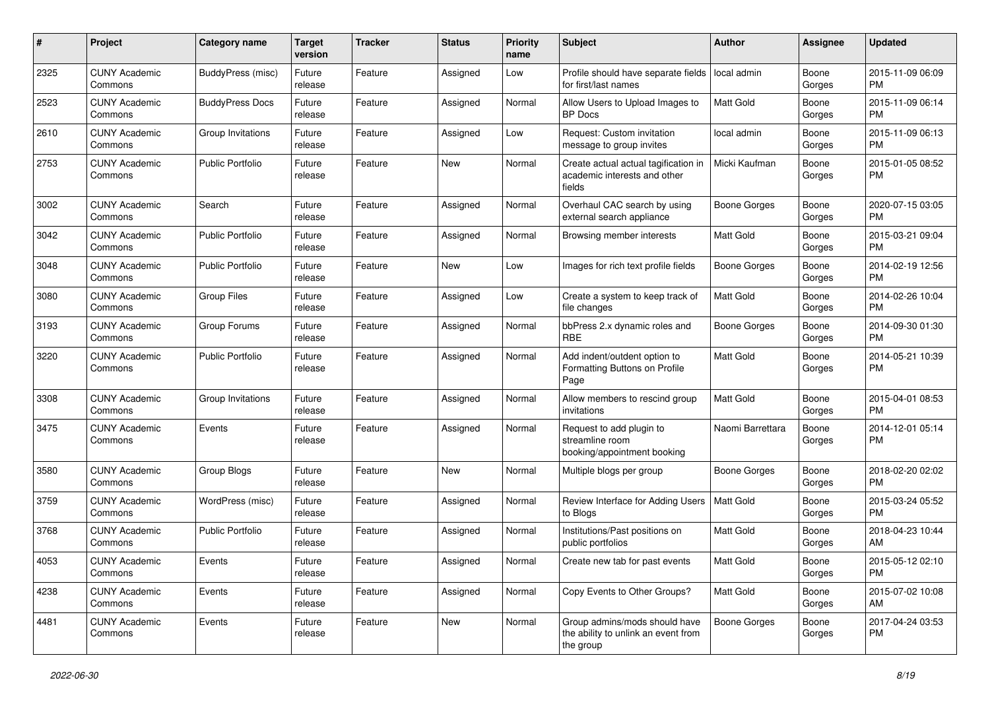| #    | Project                         | <b>Category name</b>    | <b>Target</b><br>version | <b>Tracker</b> | <b>Status</b> | <b>Priority</b><br>name | <b>Subject</b>                                                                    | Author              | Assignee        | <b>Updated</b>                |
|------|---------------------------------|-------------------------|--------------------------|----------------|---------------|-------------------------|-----------------------------------------------------------------------------------|---------------------|-----------------|-------------------------------|
| 2325 | <b>CUNY Academic</b><br>Commons | BuddyPress (misc)       | Future<br>release        | Feature        | Assigned      | Low                     | Profile should have separate fields<br>for first/last names                       | local admin         | Boone<br>Gorges | 2015-11-09 06:09<br><b>PM</b> |
| 2523 | <b>CUNY Academic</b><br>Commons | <b>BuddyPress Docs</b>  | Future<br>release        | Feature        | Assigned      | Normal                  | Allow Users to Upload Images to<br><b>BP</b> Docs                                 | <b>Matt Gold</b>    | Boone<br>Gorges | 2015-11-09 06:14<br><b>PM</b> |
| 2610 | <b>CUNY Academic</b><br>Commons | Group Invitations       | Future<br>release        | Feature        | Assigned      | Low                     | Request: Custom invitation<br>message to group invites                            | local admin         | Boone<br>Gorges | 2015-11-09 06:13<br><b>PM</b> |
| 2753 | <b>CUNY Academic</b><br>Commons | <b>Public Portfolio</b> | Future<br>release        | Feature        | <b>New</b>    | Normal                  | Create actual actual tagification in<br>academic interests and other<br>fields    | Micki Kaufman       | Boone<br>Gorges | 2015-01-05 08:52<br>PM        |
| 3002 | <b>CUNY Academic</b><br>Commons | Search                  | Future<br>release        | Feature        | Assigned      | Normal                  | Overhaul CAC search by using<br>external search appliance                         | Boone Gorges        | Boone<br>Gorges | 2020-07-15 03:05<br><b>PM</b> |
| 3042 | <b>CUNY Academic</b><br>Commons | <b>Public Portfolio</b> | Future<br>release        | Feature        | Assigned      | Normal                  | Browsing member interests                                                         | <b>Matt Gold</b>    | Boone<br>Gorges | 2015-03-21 09:04<br><b>PM</b> |
| 3048 | <b>CUNY Academic</b><br>Commons | <b>Public Portfolio</b> | Future<br>release        | Feature        | New           | Low                     | Images for rich text profile fields                                               | <b>Boone Gorges</b> | Boone<br>Gorges | 2014-02-19 12:56<br><b>PM</b> |
| 3080 | <b>CUNY Academic</b><br>Commons | <b>Group Files</b>      | Future<br>release        | Feature        | Assigned      | Low                     | Create a system to keep track of<br>file changes                                  | <b>Matt Gold</b>    | Boone<br>Gorges | 2014-02-26 10:04<br><b>PM</b> |
| 3193 | <b>CUNY Academic</b><br>Commons | Group Forums            | Future<br>release        | Feature        | Assigned      | Normal                  | bbPress 2.x dynamic roles and<br><b>RBE</b>                                       | <b>Boone Gorges</b> | Boone<br>Gorges | 2014-09-30 01:30<br><b>PM</b> |
| 3220 | <b>CUNY Academic</b><br>Commons | <b>Public Portfolio</b> | Future<br>release        | Feature        | Assigned      | Normal                  | Add indent/outdent option to<br>Formatting Buttons on Profile<br>Page             | <b>Matt Gold</b>    | Boone<br>Gorges | 2014-05-21 10:39<br><b>PM</b> |
| 3308 | <b>CUNY Academic</b><br>Commons | Group Invitations       | Future<br>release        | Feature        | Assigned      | Normal                  | Allow members to rescind group<br>invitations                                     | <b>Matt Gold</b>    | Boone<br>Gorges | 2015-04-01 08:53<br><b>PM</b> |
| 3475 | <b>CUNY Academic</b><br>Commons | Events                  | Future<br>release        | Feature        | Assigned      | Normal                  | Request to add plugin to<br>streamline room<br>booking/appointment booking        | Naomi Barrettara    | Boone<br>Gorges | 2014-12-01 05:14<br><b>PM</b> |
| 3580 | <b>CUNY Academic</b><br>Commons | Group Blogs             | Future<br>release        | Feature        | New           | Normal                  | Multiple blogs per group                                                          | Boone Gorges        | Boone<br>Gorges | 2018-02-20 02:02<br><b>PM</b> |
| 3759 | <b>CUNY Academic</b><br>Commons | WordPress (misc)        | Future<br>release        | Feature        | Assigned      | Normal                  | Review Interface for Adding Users<br>to Blogs                                     | <b>Matt Gold</b>    | Boone<br>Gorges | 2015-03-24 05:52<br><b>PM</b> |
| 3768 | <b>CUNY Academic</b><br>Commons | <b>Public Portfolio</b> | Future<br>release        | Feature        | Assigned      | Normal                  | Institutions/Past positions on<br>public portfolios                               | <b>Matt Gold</b>    | Boone<br>Gorges | 2018-04-23 10:44<br>AM        |
| 4053 | <b>CUNY Academic</b><br>Commons | Events                  | Future<br>release        | Feature        | Assigned      | Normal                  | Create new tab for past events                                                    | Matt Gold           | Boone<br>Gorges | 2015-05-12 02:10<br>PM.       |
| 4238 | <b>CUNY Academic</b><br>Commons | Events                  | Future<br>release        | Feature        | Assigned      | Normal                  | Copy Events to Other Groups?                                                      | Matt Gold           | Boone<br>Gorges | 2015-07-02 10:08<br>AM        |
| 4481 | <b>CUNY Academic</b><br>Commons | Events                  | Future<br>release        | Feature        | New           | Normal                  | Group admins/mods should have<br>the ability to unlink an event from<br>the group | Boone Gorges        | Boone<br>Gorges | 2017-04-24 03:53<br><b>PM</b> |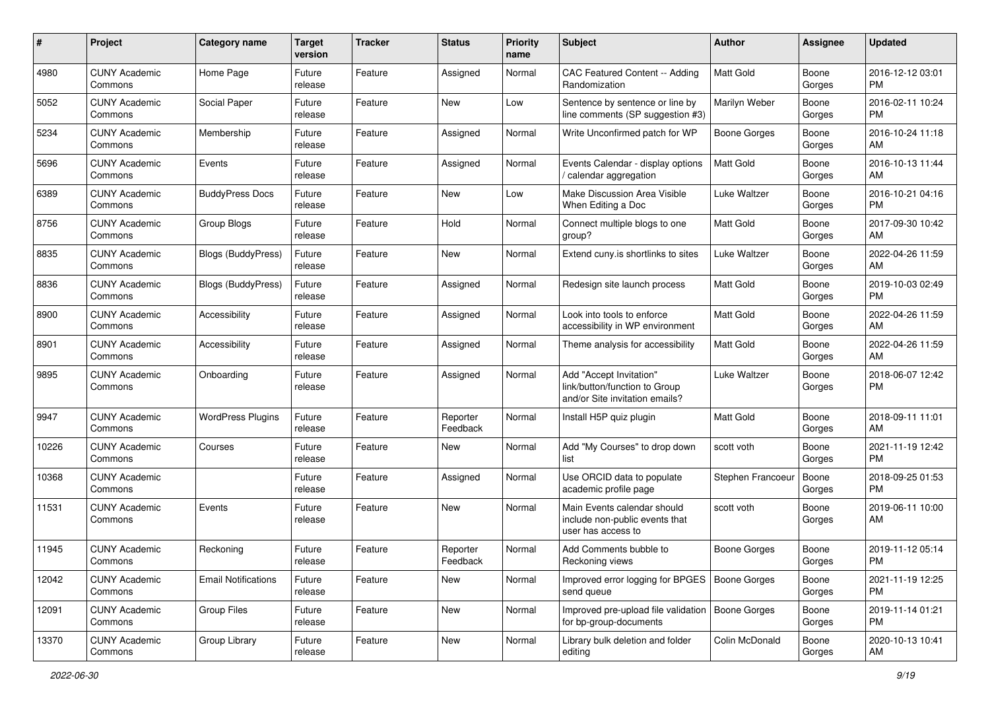| #     | Project                         | <b>Category name</b>       | <b>Target</b><br>version | <b>Tracker</b> | <b>Status</b>        | <b>Priority</b><br>name | Subject                                                                                    | <b>Author</b>       | Assignee        | <b>Updated</b>                |
|-------|---------------------------------|----------------------------|--------------------------|----------------|----------------------|-------------------------|--------------------------------------------------------------------------------------------|---------------------|-----------------|-------------------------------|
| 4980  | <b>CUNY Academic</b><br>Commons | Home Page                  | Future<br>release        | Feature        | Assigned             | Normal                  | CAC Featured Content -- Adding<br>Randomization                                            | Matt Gold           | Boone<br>Gorges | 2016-12-12 03:01<br>PM.       |
| 5052  | <b>CUNY Academic</b><br>Commons | Social Paper               | Future<br>release        | Feature        | New                  | Low                     | Sentence by sentence or line by<br>line comments (SP suggestion #3)                        | Marilyn Weber       | Boone<br>Gorges | 2016-02-11 10:24<br><b>PM</b> |
| 5234  | <b>CUNY Academic</b><br>Commons | Membership                 | Future<br>release        | Feature        | Assigned             | Normal                  | Write Unconfirmed patch for WP                                                             | Boone Gorges        | Boone<br>Gorges | 2016-10-24 11:18<br>AM        |
| 5696  | <b>CUNY Academic</b><br>Commons | Events                     | Future<br>release        | Feature        | Assigned             | Normal                  | Events Calendar - display options<br>/ calendar aggregation                                | <b>Matt Gold</b>    | Boone<br>Gorges | 2016-10-13 11:44<br>AM.       |
| 6389  | <b>CUNY Academic</b><br>Commons | <b>BuddyPress Docs</b>     | Future<br>release        | Feature        | New                  | Low                     | Make Discussion Area Visible<br>When Editing a Doc                                         | Luke Waltzer        | Boone<br>Gorges | 2016-10-21 04:16<br><b>PM</b> |
| 8756  | <b>CUNY Academic</b><br>Commons | Group Blogs                | Future<br>release        | Feature        | Hold                 | Normal                  | Connect multiple blogs to one<br>group?                                                    | Matt Gold           | Boone<br>Gorges | 2017-09-30 10:42<br>AM        |
| 8835  | <b>CUNY Academic</b><br>Commons | <b>Blogs (BuddyPress)</b>  | Future<br>release        | Feature        | New                  | Normal                  | Extend cuny is shortlinks to sites                                                         | Luke Waltzer        | Boone<br>Gorges | 2022-04-26 11:59<br>AM.       |
| 8836  | <b>CUNY Academic</b><br>Commons | Blogs (BuddyPress)         | Future<br>release        | Feature        | Assigned             | Normal                  | Redesign site launch process                                                               | Matt Gold           | Boone<br>Gorges | 2019-10-03 02:49<br>PM.       |
| 8900  | <b>CUNY Academic</b><br>Commons | Accessibility              | Future<br>release        | Feature        | Assigned             | Normal                  | Look into tools to enforce<br>accessibility in WP environment                              | Matt Gold           | Boone<br>Gorges | 2022-04-26 11:59<br>AM.       |
| 8901  | <b>CUNY Academic</b><br>Commons | Accessibility              | Future<br>release        | Feature        | Assigned             | Normal                  | Theme analysis for accessibility                                                           | Matt Gold           | Boone<br>Gorges | 2022-04-26 11:59<br>AM        |
| 9895  | <b>CUNY Academic</b><br>Commons | Onboarding                 | Future<br>release        | Feature        | Assigned             | Normal                  | Add "Accept Invitation"<br>link/button/function to Group<br>and/or Site invitation emails? | Luke Waltzer        | Boone<br>Gorges | 2018-06-07 12:42<br>PM.       |
| 9947  | <b>CUNY Academic</b><br>Commons | <b>WordPress Plugins</b>   | Future<br>release        | Feature        | Reporter<br>Feedback | Normal                  | Install H5P quiz plugin                                                                    | Matt Gold           | Boone<br>Gorges | 2018-09-11 11:01<br>AM.       |
| 10226 | <b>CUNY Academic</b><br>Commons | Courses                    | Future<br>release        | Feature        | New                  | Normal                  | Add "My Courses" to drop down<br>list                                                      | scott voth          | Boone<br>Gorges | 2021-11-19 12:42<br><b>PM</b> |
| 10368 | <b>CUNY Academic</b><br>Commons |                            | Future<br>release        | Feature        | Assigned             | Normal                  | Use ORCID data to populate<br>academic profile page                                        | Stephen Francoeur   | Boone<br>Gorges | 2018-09-25 01:53<br><b>PM</b> |
| 11531 | <b>CUNY Academic</b><br>Commons | Events                     | Future<br>release        | Feature        | <b>New</b>           | Normal                  | Main Events calendar should<br>include non-public events that<br>user has access to        | scott voth          | Boone<br>Gorges | 2019-06-11 10:00<br>AM        |
| 11945 | <b>CUNY Academic</b><br>Commons | Reckoning                  | Future<br>release        | Feature        | Reporter<br>Feedback | Normal                  | Add Comments bubble to<br>Reckoning views                                                  | <b>Boone Gorges</b> | Boone<br>Gorges | 2019-11-12 05:14<br>PM        |
| 12042 | <b>CUNY Academic</b><br>Commons | <b>Email Notifications</b> | Future<br>release        | Feature        | New                  | Normal                  | Improved error logging for BPGES   Boone Gorges<br>send queue                              |                     | Boone<br>Gorges | 2021-11-19 12:25<br><b>PM</b> |
| 12091 | <b>CUNY Academic</b><br>Commons | <b>Group Files</b>         | Future<br>release        | Feature        | New                  | Normal                  | Improved pre-upload file validation<br>for bp-group-documents                              | Boone Gorges        | Boone<br>Gorges | 2019-11-14 01:21<br><b>PM</b> |
| 13370 | <b>CUNY Academic</b><br>Commons | Group Library              | Future<br>release        | Feature        | New                  | Normal                  | Library bulk deletion and folder<br>editing                                                | Colin McDonald      | Boone<br>Gorges | 2020-10-13 10:41<br>AM        |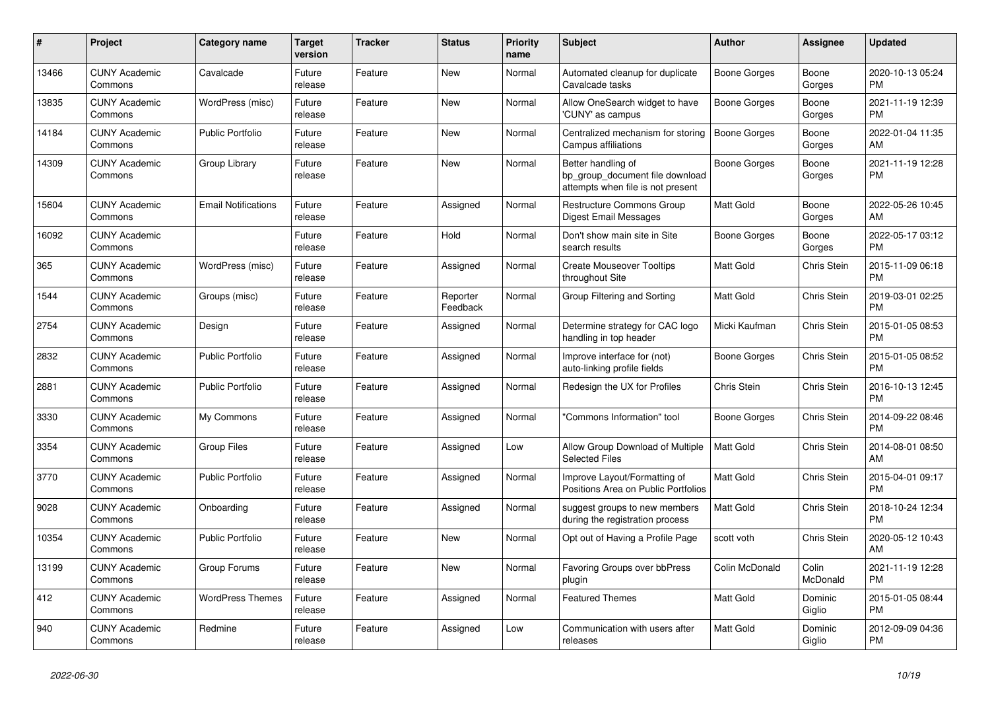| #     | <b>Project</b>                  | Category name              | <b>Target</b><br>version | <b>Tracker</b> | <b>Status</b>        | <b>Priority</b><br>name | <b>Subject</b>                                                                             | <b>Author</b>    | <b>Assignee</b>    | <b>Updated</b>                |
|-------|---------------------------------|----------------------------|--------------------------|----------------|----------------------|-------------------------|--------------------------------------------------------------------------------------------|------------------|--------------------|-------------------------------|
| 13466 | <b>CUNY Academic</b><br>Commons | Cavalcade                  | Future<br>release        | Feature        | New                  | Normal                  | Automated cleanup for duplicate<br>Cavalcade tasks                                         | Boone Gorges     | Boone<br>Gorges    | 2020-10-13 05:24<br><b>PM</b> |
| 13835 | <b>CUNY Academic</b><br>Commons | WordPress (misc)           | Future<br>release        | Feature        | New                  | Normal                  | Allow OneSearch widget to have<br>'CUNY' as campus                                         | Boone Gorges     | Boone<br>Gorges    | 2021-11-19 12:39<br><b>PM</b> |
| 14184 | <b>CUNY Academic</b><br>Commons | <b>Public Portfolio</b>    | Future<br>release        | Feature        | <b>New</b>           | Normal                  | Centralized mechanism for storing<br>Campus affiliations                                   | Boone Gorges     | Boone<br>Gorges    | 2022-01-04 11:35<br>AM        |
| 14309 | <b>CUNY Academic</b><br>Commons | Group Library              | Future<br>release        | Feature        | <b>New</b>           | Normal                  | Better handling of<br>bp_group_document file download<br>attempts when file is not present | Boone Gorges     | Boone<br>Gorges    | 2021-11-19 12:28<br><b>PM</b> |
| 15604 | <b>CUNY Academic</b><br>Commons | <b>Email Notifications</b> | Future<br>release        | Feature        | Assigned             | Normal                  | Restructure Commons Group<br><b>Digest Email Messages</b>                                  | Matt Gold        | Boone<br>Gorges    | 2022-05-26 10:45<br>AM        |
| 16092 | <b>CUNY Academic</b><br>Commons |                            | Future<br>release        | Feature        | Hold                 | Normal                  | Don't show main site in Site<br>search results                                             | Boone Gorges     | Boone<br>Gorges    | 2022-05-17 03:12<br><b>PM</b> |
| 365   | <b>CUNY Academic</b><br>Commons | WordPress (misc)           | Future<br>release        | Feature        | Assigned             | Normal                  | <b>Create Mouseover Tooltips</b><br>throughout Site                                        | <b>Matt Gold</b> | <b>Chris Stein</b> | 2015-11-09 06:18<br><b>PM</b> |
| 1544  | <b>CUNY Academic</b><br>Commons | Groups (misc)              | Future<br>release        | Feature        | Reporter<br>Feedback | Normal                  | Group Filtering and Sorting                                                                | <b>Matt Gold</b> | Chris Stein        | 2019-03-01 02:25<br><b>PM</b> |
| 2754  | <b>CUNY Academic</b><br>Commons | Design                     | Future<br>release        | Feature        | Assigned             | Normal                  | Determine strategy for CAC logo<br>handling in top header                                  | Micki Kaufman    | <b>Chris Stein</b> | 2015-01-05 08:53<br><b>PM</b> |
| 2832  | <b>CUNY Academic</b><br>Commons | <b>Public Portfolio</b>    | Future<br>release        | Feature        | Assigned             | Normal                  | Improve interface for (not)<br>auto-linking profile fields                                 | Boone Gorges     | Chris Stein        | 2015-01-05 08:52<br><b>PM</b> |
| 2881  | <b>CUNY Academic</b><br>Commons | <b>Public Portfolio</b>    | Future<br>release        | Feature        | Assigned             | Normal                  | Redesign the UX for Profiles                                                               | Chris Stein      | Chris Stein        | 2016-10-13 12:45<br><b>PM</b> |
| 3330  | <b>CUNY Academic</b><br>Commons | My Commons                 | Future<br>release        | Feature        | Assigned             | Normal                  | "Commons Information" tool                                                                 | Boone Gorges     | <b>Chris Stein</b> | 2014-09-22 08:46<br><b>PM</b> |
| 3354  | <b>CUNY Academic</b><br>Commons | <b>Group Files</b>         | Future<br>release        | Feature        | Assigned             | Low                     | Allow Group Download of Multiple<br><b>Selected Files</b>                                  | <b>Matt Gold</b> | Chris Stein        | 2014-08-01 08:50<br>AM        |
| 3770  | <b>CUNY Academic</b><br>Commons | <b>Public Portfolio</b>    | Future<br>release        | Feature        | Assigned             | Normal                  | Improve Layout/Formatting of<br>Positions Area on Public Portfolios                        | <b>Matt Gold</b> | Chris Stein        | 2015-04-01 09:17<br><b>PM</b> |
| 9028  | <b>CUNY Academic</b><br>Commons | Onboarding                 | Future<br>release        | Feature        | Assigned             | Normal                  | suggest groups to new members<br>during the registration process                           | <b>Matt Gold</b> | Chris Stein        | 2018-10-24 12:34<br><b>PM</b> |
| 10354 | <b>CUNY Academic</b><br>Commons | Public Portfolio           | Future<br>release        | Feature        | New                  | Normal                  | Opt out of Having a Profile Page                                                           | scott voth       | Chris Stein        | 2020-05-12 10:43<br>AM        |
| 13199 | <b>CUNY Academic</b><br>Commons | Group Forums               | Future<br>release        | Feature        | <b>New</b>           | Normal                  | Favoring Groups over bbPress<br>plugin                                                     | Colin McDonald   | Colin<br>McDonald  | 2021-11-19 12:28<br><b>PM</b> |
| 412   | <b>CUNY Academic</b><br>Commons | <b>WordPress Themes</b>    | Future<br>release        | Feature        | Assigned             | Normal                  | <b>Featured Themes</b>                                                                     | <b>Matt Gold</b> | Dominic<br>Giglio  | 2015-01-05 08:44<br><b>PM</b> |
| 940   | <b>CUNY Academic</b><br>Commons | Redmine                    | Future<br>release        | Feature        | Assigned             | Low                     | Communication with users after<br>releases                                                 | <b>Matt Gold</b> | Dominic<br>Giglio  | 2012-09-09 04:36<br><b>PM</b> |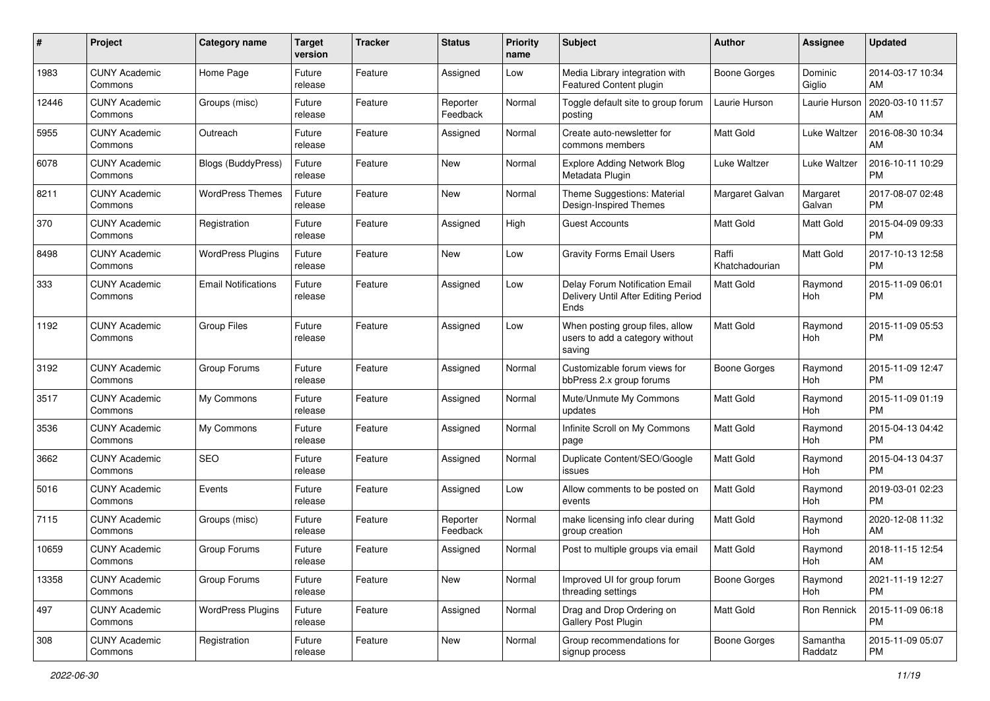| #     | Project                         | <b>Category name</b>       | <b>Target</b><br>version | <b>Tracker</b> | <b>Status</b>        | Priority<br>name | <b>Subject</b>                                                                | Author                  | <b>Assignee</b>     | <b>Updated</b>                |
|-------|---------------------------------|----------------------------|--------------------------|----------------|----------------------|------------------|-------------------------------------------------------------------------------|-------------------------|---------------------|-------------------------------|
| 1983  | <b>CUNY Academic</b><br>Commons | Home Page                  | Future<br>release        | Feature        | Assigned             | Low              | Media Library integration with<br><b>Featured Content plugin</b>              | <b>Boone Gorges</b>     | Dominic<br>Giglio   | 2014-03-17 10:34<br>AM        |
| 12446 | <b>CUNY Academic</b><br>Commons | Groups (misc)              | Future<br>release        | Feature        | Reporter<br>Feedback | Normal           | Toggle default site to group forum<br>posting                                 | Laurie Hurson           | Laurie Hurson       | 2020-03-10 11:57<br>AM        |
| 5955  | CUNY Academic<br>Commons        | Outreach                   | Future<br>release        | Feature        | Assigned             | Normal           | Create auto-newsletter for<br>commons members                                 | Matt Gold               | Luke Waltzer        | 2016-08-30 10:34<br>AM        |
| 6078  | <b>CUNY Academic</b><br>Commons | Blogs (BuddyPress)         | Future<br>release        | Feature        | New                  | Normal           | <b>Explore Adding Network Blog</b><br>Metadata Plugin                         | Luke Waltzer            | Luke Waltzer        | 2016-10-11 10:29<br><b>PM</b> |
| 8211  | <b>CUNY Academic</b><br>Commons | <b>WordPress Themes</b>    | Future<br>release        | Feature        | New                  | Normal           | Theme Suggestions: Material<br>Design-Inspired Themes                         | Margaret Galvan         | Margaret<br>Galvan  | 2017-08-07 02:48<br><b>PM</b> |
| 370   | <b>CUNY Academic</b><br>Commons | Registration               | Future<br>release        | Feature        | Assigned             | High             | <b>Guest Accounts</b>                                                         | Matt Gold               | Matt Gold           | 2015-04-09 09:33<br><b>PM</b> |
| 8498  | <b>CUNY Academic</b><br>Commons | <b>WordPress Plugins</b>   | Future<br>release        | Feature        | New                  | Low              | <b>Gravity Forms Email Users</b>                                              | Raffi<br>Khatchadourian | Matt Gold           | 2017-10-13 12:58<br><b>PM</b> |
| 333   | <b>CUNY Academic</b><br>Commons | <b>Email Notifications</b> | Future<br>release        | Feature        | Assigned             | Low              | Delay Forum Notification Email<br>Delivery Until After Editing Period<br>Ends | Matt Gold               | Raymond<br>Hoh      | 2015-11-09 06:01<br><b>PM</b> |
| 1192  | <b>CUNY Academic</b><br>Commons | <b>Group Files</b>         | Future<br>release        | Feature        | Assigned             | Low              | When posting group files, allow<br>users to add a category without<br>saving  | <b>Matt Gold</b>        | Raymond<br>Hoh      | 2015-11-09 05:53<br><b>PM</b> |
| 3192  | <b>CUNY Academic</b><br>Commons | Group Forums               | Future<br>release        | Feature        | Assigned             | Normal           | Customizable forum views for<br>bbPress 2.x group forums                      | <b>Boone Gorges</b>     | Raymond<br>Hoh      | 2015-11-09 12:47<br><b>PM</b> |
| 3517  | CUNY Academic<br>Commons        | My Commons                 | Future<br>release        | Feature        | Assigned             | Normal           | Mute/Unmute My Commons<br>updates                                             | <b>Matt Gold</b>        | Raymond<br>Hoh      | 2015-11-09 01:19<br><b>PM</b> |
| 3536  | <b>CUNY Academic</b><br>Commons | My Commons                 | Future<br>release        | Feature        | Assigned             | Normal           | Infinite Scroll on My Commons<br>page                                         | Matt Gold               | Raymond<br>Hoh      | 2015-04-13 04:42<br><b>PM</b> |
| 3662  | CUNY Academic<br>Commons        | <b>SEO</b>                 | Future<br>release        | Feature        | Assigned             | Normal           | Duplicate Content/SEO/Google<br>issues                                        | Matt Gold               | Raymond<br>Hoh      | 2015-04-13 04:37<br><b>PM</b> |
| 5016  | <b>CUNY Academic</b><br>Commons | Events                     | Future<br>release        | Feature        | Assigned             | Low              | Allow comments to be posted on<br>events                                      | <b>Matt Gold</b>        | Raymond<br>Hoh      | 2019-03-01 02:23<br><b>PM</b> |
| 7115  | <b>CUNY Academic</b><br>Commons | Groups (misc)              | Future<br>release        | Feature        | Reporter<br>Feedback | Normal           | make licensing info clear during<br>group creation                            | Matt Gold               | Raymond<br>Hoh      | 2020-12-08 11:32<br>AM        |
| 10659 | <b>CUNY Academic</b><br>Commons | Group Forums               | Future<br>release        | Feature        | Assigned             | Normal           | Post to multiple groups via email                                             | Matt Gold               | Raymond<br>Hoh      | 2018-11-15 12:54<br>AM        |
| 13358 | <b>CUNY Academic</b><br>Commons | Group Forums               | Future<br>release        | Feature        | New                  | Normal           | Improved UI for group forum<br>threading settings                             | Boone Gorges            | Raymond<br>Hoh      | 2021-11-19 12:27<br>PM        |
| 497   | <b>CUNY Academic</b><br>Commons | <b>WordPress Plugins</b>   | Future<br>release        | Feature        | Assigned             | Normal           | Drag and Drop Ordering on<br>Gallery Post Plugin                              | Matt Gold               | Ron Rennick         | 2015-11-09 06:18<br><b>PM</b> |
| 308   | <b>CUNY Academic</b><br>Commons | Registration               | Future<br>release        | Feature        | New                  | Normal           | Group recommendations for<br>signup process                                   | Boone Gorges            | Samantha<br>Raddatz | 2015-11-09 05:07<br><b>PM</b> |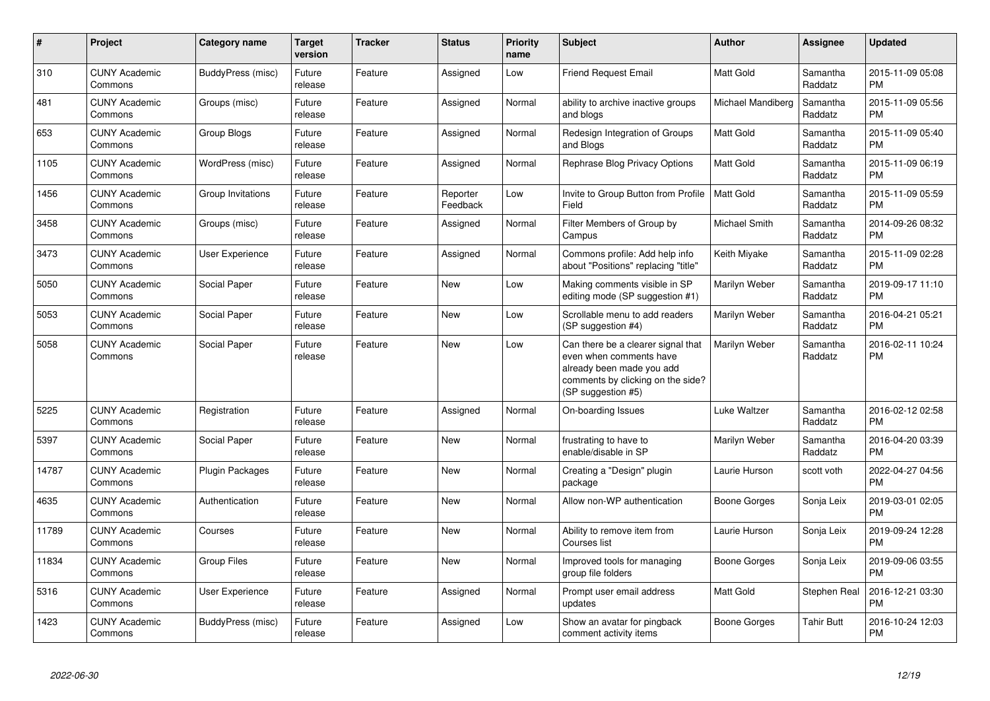| $\#$  | Project                         | <b>Category name</b>   | <b>Target</b><br>version | <b>Tracker</b> | <b>Status</b>        | <b>Priority</b><br>name | <b>Subject</b>                                                                                                                                        | <b>Author</b>     | Assignee            | <b>Updated</b>                |
|-------|---------------------------------|------------------------|--------------------------|----------------|----------------------|-------------------------|-------------------------------------------------------------------------------------------------------------------------------------------------------|-------------------|---------------------|-------------------------------|
| 310   | <b>CUNY Academic</b><br>Commons | BuddyPress (misc)      | Future<br>release        | Feature        | Assigned             | Low                     | <b>Friend Request Email</b>                                                                                                                           | <b>Matt Gold</b>  | Samantha<br>Raddatz | 2015-11-09 05:08<br><b>PM</b> |
| 481   | <b>CUNY Academic</b><br>Commons | Groups (misc)          | Future<br>release        | Feature        | Assigned             | Normal                  | ability to archive inactive groups<br>and blogs                                                                                                       | Michael Mandiberg | Samantha<br>Raddatz | 2015-11-09 05:56<br><b>PM</b> |
| 653   | <b>CUNY Academic</b><br>Commons | Group Blogs            | Future<br>release        | Feature        | Assigned             | Normal                  | Redesign Integration of Groups<br>and Blogs                                                                                                           | Matt Gold         | Samantha<br>Raddatz | 2015-11-09 05:40<br><b>PM</b> |
| 1105  | <b>CUNY Academic</b><br>Commons | WordPress (misc)       | Future<br>release        | Feature        | Assigned             | Normal                  | Rephrase Blog Privacy Options                                                                                                                         | Matt Gold         | Samantha<br>Raddatz | 2015-11-09 06:19<br><b>PM</b> |
| 1456  | <b>CUNY Academic</b><br>Commons | Group Invitations      | Future<br>release        | Feature        | Reporter<br>Feedback | Low                     | Invite to Group Button from Profile<br>Field                                                                                                          | <b>Matt Gold</b>  | Samantha<br>Raddatz | 2015-11-09 05:59<br><b>PM</b> |
| 3458  | <b>CUNY Academic</b><br>Commons | Groups (misc)          | Future<br>release        | Feature        | Assigned             | Normal                  | Filter Members of Group by<br>Campus                                                                                                                  | Michael Smith     | Samantha<br>Raddatz | 2014-09-26 08:32<br><b>PM</b> |
| 3473  | <b>CUNY Academic</b><br>Commons | <b>User Experience</b> | Future<br>release        | Feature        | Assigned             | Normal                  | Commons profile: Add help info<br>about "Positions" replacing "title"                                                                                 | Keith Miyake      | Samantha<br>Raddatz | 2015-11-09 02:28<br><b>PM</b> |
| 5050  | <b>CUNY Academic</b><br>Commons | Social Paper           | Future<br>release        | Feature        | <b>New</b>           | Low                     | Making comments visible in SP<br>editing mode (SP suggestion #1)                                                                                      | Marilyn Weber     | Samantha<br>Raddatz | 2019-09-17 11:10<br><b>PM</b> |
| 5053  | <b>CUNY Academic</b><br>Commons | Social Paper           | Future<br>release        | Feature        | <b>New</b>           | Low                     | Scrollable menu to add readers<br>(SP suggestion #4)                                                                                                  | Marilyn Weber     | Samantha<br>Raddatz | 2016-04-21 05:21<br><b>PM</b> |
| 5058  | <b>CUNY Academic</b><br>Commons | Social Paper           | Future<br>release        | Feature        | <b>New</b>           | Low                     | Can there be a clearer signal that<br>even when comments have<br>already been made you add<br>comments by clicking on the side?<br>(SP suggestion #5) | Marilyn Weber     | Samantha<br>Raddatz | 2016-02-11 10:24<br><b>PM</b> |
| 5225  | <b>CUNY Academic</b><br>Commons | Registration           | Future<br>release        | Feature        | Assigned             | Normal                  | On-boarding Issues                                                                                                                                    | Luke Waltzer      | Samantha<br>Raddatz | 2016-02-12 02:58<br><b>PM</b> |
| 5397  | <b>CUNY Academic</b><br>Commons | Social Paper           | Future<br>release        | Feature        | <b>New</b>           | Normal                  | frustrating to have to<br>enable/disable in SP                                                                                                        | Marilyn Weber     | Samantha<br>Raddatz | 2016-04-20 03:39<br><b>PM</b> |
| 14787 | <b>CUNY Academic</b><br>Commons | <b>Plugin Packages</b> | Future<br>release        | Feature        | New                  | Normal                  | Creating a "Design" plugin<br>package                                                                                                                 | Laurie Hurson     | scott voth          | 2022-04-27 04:56<br><b>PM</b> |
| 4635  | <b>CUNY Academic</b><br>Commons | Authentication         | Future<br>release        | Feature        | New                  | Normal                  | Allow non-WP authentication                                                                                                                           | Boone Gorges      | Sonja Leix          | 2019-03-01 02:05<br><b>PM</b> |
| 11789 | <b>CUNY Academic</b><br>Commons | Courses                | Future<br>release        | Feature        | New                  | Normal                  | Ability to remove item from<br>Courses list                                                                                                           | Laurie Hurson     | Sonja Leix          | 2019-09-24 12:28<br><b>PM</b> |
| 11834 | <b>CUNY Academic</b><br>Commons | <b>Group Files</b>     | Future<br>release        | Feature        | New                  | Normal                  | Improved tools for managing<br>group file folders                                                                                                     | Boone Gorges      | Sonja Leix          | 2019-09-06 03:55<br><b>PM</b> |
| 5316  | <b>CUNY Academic</b><br>Commons | <b>User Experience</b> | Future<br>release        | Feature        | Assigned             | Normal                  | Prompt user email address<br>updates                                                                                                                  | <b>Matt Gold</b>  | Stephen Real        | 2016-12-21 03:30<br><b>PM</b> |
| 1423  | <b>CUNY Academic</b><br>Commons | BuddyPress (misc)      | Future<br>release        | Feature        | Assigned             | Low                     | Show an avatar for pingback<br>comment activity items                                                                                                 | Boone Gorges      | <b>Tahir Butt</b>   | 2016-10-24 12:03<br><b>PM</b> |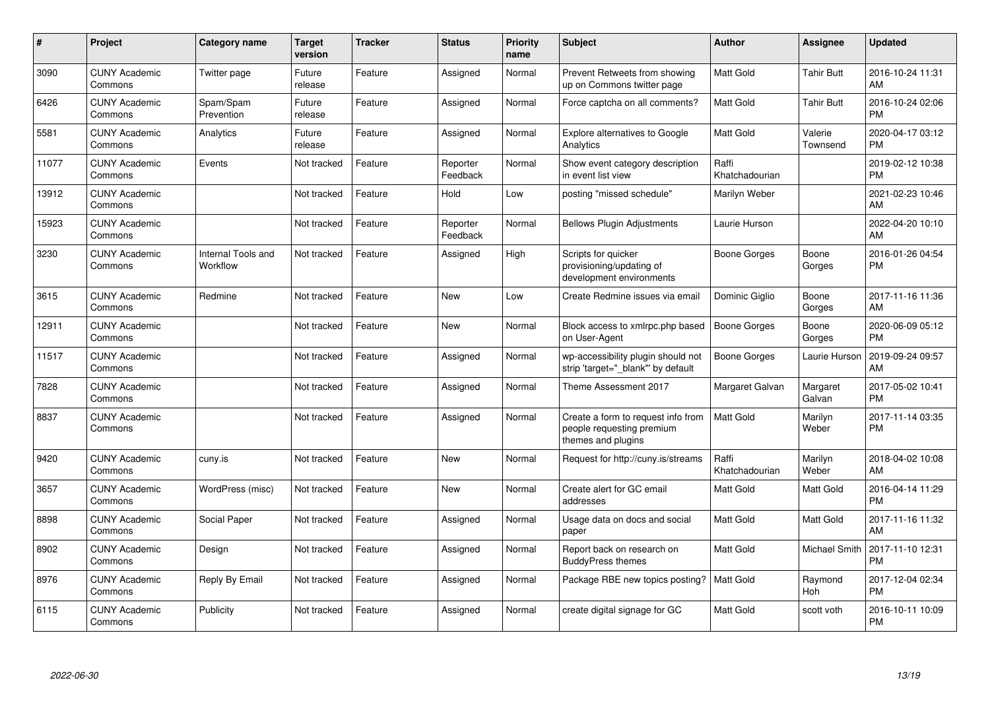| #     | Project                         | Category name                         | <b>Target</b><br>version | <b>Tracker</b> | <b>Status</b>        | <b>Priority</b><br>name | <b>Subject</b>                                                                        | Author                  | <b>Assignee</b>     | <b>Updated</b>                |
|-------|---------------------------------|---------------------------------------|--------------------------|----------------|----------------------|-------------------------|---------------------------------------------------------------------------------------|-------------------------|---------------------|-------------------------------|
| 3090  | <b>CUNY Academic</b><br>Commons | Twitter page                          | Future<br>release        | Feature        | Assigned             | Normal                  | Prevent Retweets from showing<br>up on Commons twitter page                           | <b>Matt Gold</b>        | <b>Tahir Butt</b>   | 2016-10-24 11:31<br>AM        |
| 6426  | <b>CUNY Academic</b><br>Commons | Spam/Spam<br>Prevention               | Future<br>release        | Feature        | Assigned             | Normal                  | Force captcha on all comments?                                                        | <b>Matt Gold</b>        | <b>Tahir Butt</b>   | 2016-10-24 02:06<br><b>PM</b> |
| 5581  | <b>CUNY Academic</b><br>Commons | Analytics                             | Future<br>release        | Feature        | Assigned             | Normal                  | <b>Explore alternatives to Google</b><br>Analytics                                    | <b>Matt Gold</b>        | Valerie<br>Townsend | 2020-04-17 03:12<br><b>PM</b> |
| 11077 | <b>CUNY Academic</b><br>Commons | Events                                | Not tracked              | Feature        | Reporter<br>Feedback | Normal                  | Show event category description<br>in event list view                                 | Raffi<br>Khatchadourian |                     | 2019-02-12 10:38<br><b>PM</b> |
| 13912 | <b>CUNY Academic</b><br>Commons |                                       | Not tracked              | Feature        | Hold                 | Low                     | posting "missed schedule"                                                             | Marilyn Weber           |                     | 2021-02-23 10:46<br>AM        |
| 15923 | <b>CUNY Academic</b><br>Commons |                                       | Not tracked              | Feature        | Reporter<br>Feedback | Normal                  | <b>Bellows Plugin Adjustments</b>                                                     | Laurie Hurson           |                     | 2022-04-20 10:10<br>AM        |
| 3230  | <b>CUNY Academic</b><br>Commons | <b>Internal Tools and</b><br>Workflow | Not tracked              | Feature        | Assigned             | High                    | Scripts for quicker<br>provisioning/updating of<br>development environments           | <b>Boone Gorges</b>     | Boone<br>Gorges     | 2016-01-26 04:54<br><b>PM</b> |
| 3615  | <b>CUNY Academic</b><br>Commons | Redmine                               | Not tracked              | Feature        | New                  | Low                     | Create Redmine issues via email                                                       | Dominic Giglio          | Boone<br>Gorges     | 2017-11-16 11:36<br>AM        |
| 12911 | <b>CUNY Academic</b><br>Commons |                                       | Not tracked              | Feature        | <b>New</b>           | Normal                  | Block access to xmlrpc.php based<br>on User-Agent                                     | <b>Boone Gorges</b>     | Boone<br>Gorges     | 2020-06-09 05:12<br><b>PM</b> |
| 11517 | <b>CUNY Academic</b><br>Commons |                                       | Not tracked              | Feature        | Assigned             | Normal                  | wp-accessibility plugin should not<br>strip 'target=" blank" by default               | Boone Gorges            | Laurie Hurson       | 2019-09-24 09:57<br>AM        |
| 7828  | <b>CUNY Academic</b><br>Commons |                                       | Not tracked              | Feature        | Assigned             | Normal                  | Theme Assessment 2017                                                                 | Margaret Galvan         | Margaret<br>Galvan  | 2017-05-02 10:41<br><b>PM</b> |
| 8837  | <b>CUNY Academic</b><br>Commons |                                       | Not tracked              | Feature        | Assigned             | Normal                  | Create a form to request info from<br>people requesting premium<br>themes and plugins | <b>Matt Gold</b>        | Marilyn<br>Weber    | 2017-11-14 03:35<br><b>PM</b> |
| 9420  | <b>CUNY Academic</b><br>Commons | cuny.is                               | Not tracked              | Feature        | New                  | Normal                  | Request for http://cuny.is/streams                                                    | Raffi<br>Khatchadourian | Marilyn<br>Weber    | 2018-04-02 10:08<br>AM        |
| 3657  | <b>CUNY Academic</b><br>Commons | WordPress (misc)                      | Not tracked              | Feature        | New                  | Normal                  | Create alert for GC email<br>addresses                                                | <b>Matt Gold</b>        | Matt Gold           | 2016-04-14 11:29<br><b>PM</b> |
| 8898  | <b>CUNY Academic</b><br>Commons | Social Paper                          | Not tracked              | Feature        | Assigned             | Normal                  | Usage data on docs and social<br>paper                                                | <b>Matt Gold</b>        | Matt Gold           | 2017-11-16 11:32<br>AM        |
| 8902  | <b>CUNY Academic</b><br>Commons | Design                                | Not tracked              | Feature        | Assigned             | Normal                  | Report back on research on<br><b>BuddyPress themes</b>                                | <b>Matt Gold</b>        | Michael Smith       | 2017-11-10 12:31<br><b>PM</b> |
| 8976  | <b>CUNY Academic</b><br>Commons | Reply By Email                        | Not tracked              | Feature        | Assigned             | Normal                  | Package RBE new topics posting?                                                       | Matt Gold               | Raymond<br>Hoh      | 2017-12-04 02:34<br><b>PM</b> |
| 6115  | <b>CUNY Academic</b><br>Commons | Publicity                             | Not tracked              | Feature        | Assigned             | Normal                  | create digital signage for GC                                                         | <b>Matt Gold</b>        | scott voth          | 2016-10-11 10:09<br>PM        |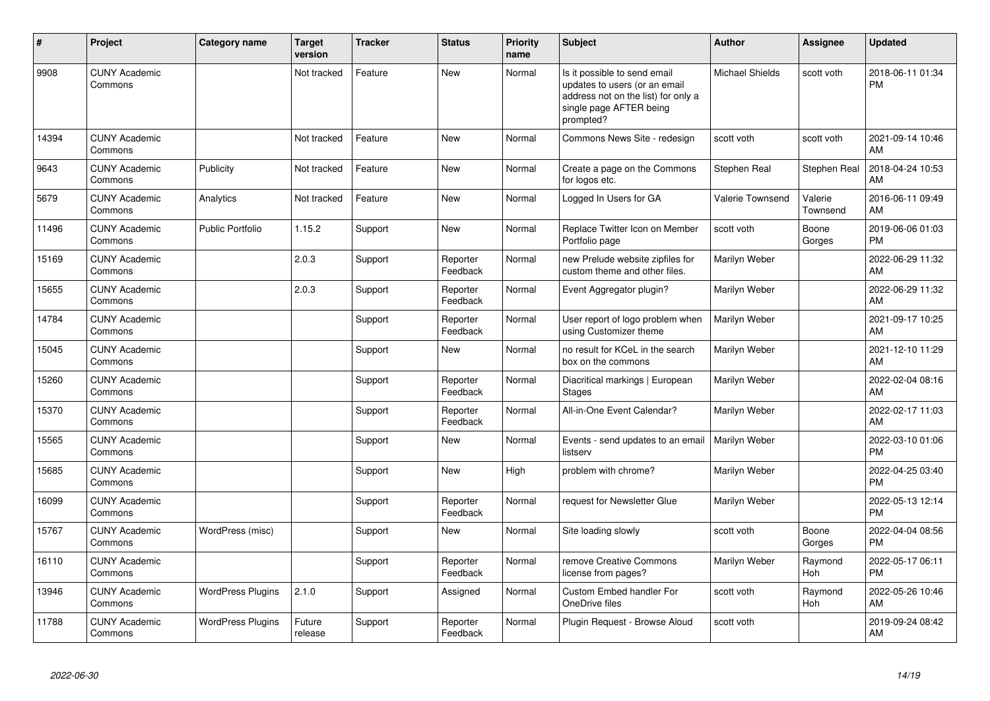| #     | Project                         | Category name            | <b>Target</b><br>version | <b>Tracker</b> | <b>Status</b>        | <b>Priority</b><br>name | <b>Subject</b>                                                                                                                               | Author                 | <b>Assignee</b>       | <b>Updated</b>                |
|-------|---------------------------------|--------------------------|--------------------------|----------------|----------------------|-------------------------|----------------------------------------------------------------------------------------------------------------------------------------------|------------------------|-----------------------|-------------------------------|
| 9908  | <b>CUNY Academic</b><br>Commons |                          | Not tracked              | Feature        | <b>New</b>           | Normal                  | Is it possible to send email<br>updates to users (or an email<br>address not on the list) for only a<br>single page AFTER being<br>prompted? | <b>Michael Shields</b> | scott voth            | 2018-06-11 01:34<br><b>PM</b> |
| 14394 | <b>CUNY Academic</b><br>Commons |                          | Not tracked              | Feature        | <b>New</b>           | Normal                  | Commons News Site - redesign                                                                                                                 | scott voth             | scott voth            | 2021-09-14 10:46<br>AM        |
| 9643  | <b>CUNY Academic</b><br>Commons | Publicity                | Not tracked              | Feature        | <b>New</b>           | Normal                  | Create a page on the Commons<br>for logos etc.                                                                                               | Stephen Real           | Stephen Real          | 2018-04-24 10:53<br>AM        |
| 5679  | <b>CUNY Academic</b><br>Commons | Analytics                | Not tracked              | Feature        | <b>New</b>           | Normal                  | Logged In Users for GA                                                                                                                       | Valerie Townsend       | Valerie<br>Townsend   | 2016-06-11 09:49<br>AM        |
| 11496 | <b>CUNY Academic</b><br>Commons | <b>Public Portfolio</b>  | 1.15.2                   | Support        | <b>New</b>           | Normal                  | Replace Twitter Icon on Member<br>Portfolio page                                                                                             | scott voth             | Boone<br>Gorges       | 2019-06-06 01:03<br><b>PM</b> |
| 15169 | <b>CUNY Academic</b><br>Commons |                          | 2.0.3                    | Support        | Reporter<br>Feedback | Normal                  | new Prelude website zipfiles for<br>custom theme and other files.                                                                            | Marilyn Weber          |                       | 2022-06-29 11:32<br><b>AM</b> |
| 15655 | <b>CUNY Academic</b><br>Commons |                          | 2.0.3                    | Support        | Reporter<br>Feedback | Normal                  | Event Aggregator plugin?                                                                                                                     | Marilyn Weber          |                       | 2022-06-29 11:32<br>AM        |
| 14784 | <b>CUNY Academic</b><br>Commons |                          |                          | Support        | Reporter<br>Feedback | Normal                  | User report of logo problem when<br>using Customizer theme                                                                                   | Marilyn Weber          |                       | 2021-09-17 10:25<br>AM        |
| 15045 | <b>CUNY Academic</b><br>Commons |                          |                          | Support        | <b>New</b>           | Normal                  | no result for KCeL in the search<br>box on the commons                                                                                       | Marilyn Weber          |                       | 2021-12-10 11:29<br>AM        |
| 15260 | <b>CUNY Academic</b><br>Commons |                          |                          | Support        | Reporter<br>Feedback | Normal                  | Diacritical markings   European<br><b>Stages</b>                                                                                             | Marilyn Weber          |                       | 2022-02-04 08:16<br>AM        |
| 15370 | <b>CUNY Academic</b><br>Commons |                          |                          | Support        | Reporter<br>Feedback | Normal                  | All-in-One Event Calendar?                                                                                                                   | Marilyn Weber          |                       | 2022-02-17 11:03<br>AM        |
| 15565 | <b>CUNY Academic</b><br>Commons |                          |                          | Support        | New                  | Normal                  | Events - send updates to an email<br>listserv                                                                                                | Marilyn Weber          |                       | 2022-03-10 01:06<br><b>PM</b> |
| 15685 | <b>CUNY Academic</b><br>Commons |                          |                          | Support        | <b>New</b>           | High                    | problem with chrome?                                                                                                                         | Marilyn Weber          |                       | 2022-04-25 03:40<br><b>PM</b> |
| 16099 | <b>CUNY Academic</b><br>Commons |                          |                          | Support        | Reporter<br>Feedback | Normal                  | request for Newsletter Glue                                                                                                                  | Marilyn Weber          |                       | 2022-05-13 12:14<br><b>PM</b> |
| 15767 | <b>CUNY Academic</b><br>Commons | WordPress (misc)         |                          | Support        | <b>New</b>           | Normal                  | Site loading slowly                                                                                                                          | scott voth             | Boone<br>Gorges       | 2022-04-04 08:56<br><b>PM</b> |
| 16110 | <b>CUNY Academic</b><br>Commons |                          |                          | Support        | Reporter<br>Feedback | Normal                  | remove Creative Commons<br>license from pages?                                                                                               | Marilyn Weber          | Raymond<br><b>Hoh</b> | 2022-05-17 06:11<br><b>PM</b> |
| 13946 | <b>CUNY Academic</b><br>Commons | <b>WordPress Plugins</b> | 2.1.0                    | Support        | Assigned             | Normal                  | Custom Embed handler For<br>OneDrive files                                                                                                   | scott voth             | Raymond<br>Hoh        | 2022-05-26 10:46<br>AM        |
| 11788 | <b>CUNY Academic</b><br>Commons | <b>WordPress Plugins</b> | Future<br>release        | Support        | Reporter<br>Feedback | Normal                  | Plugin Request - Browse Aloud                                                                                                                | scott voth             |                       | 2019-09-24 08:42<br>AM        |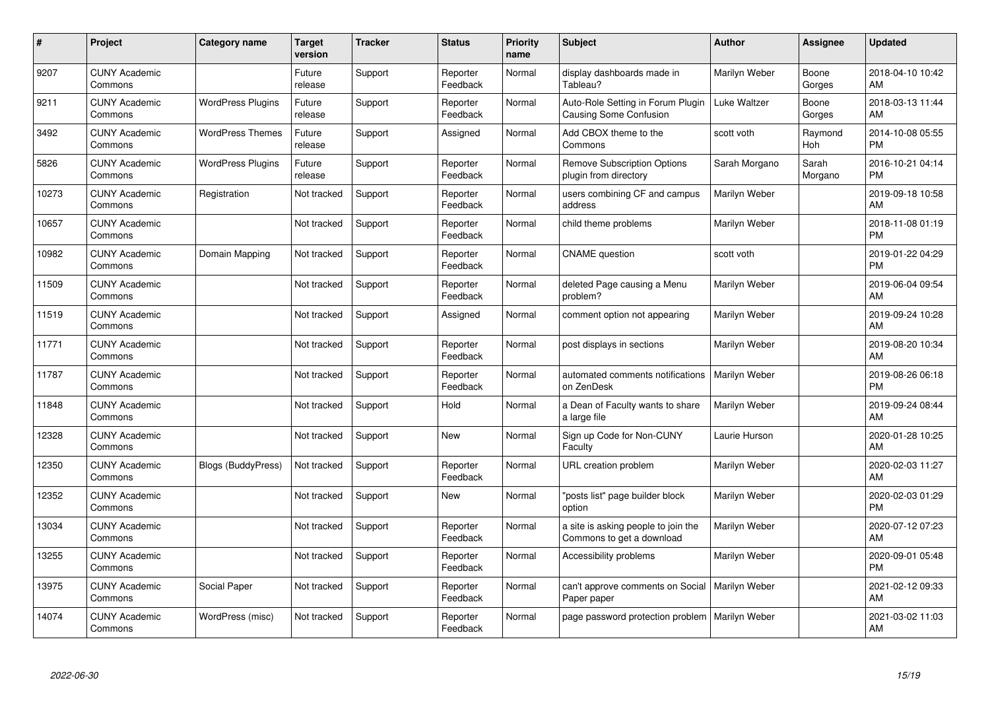| $\#$  | <b>Project</b>                  | Category name            | <b>Target</b><br>version | <b>Tracker</b> | <b>Status</b>        | <b>Priority</b><br>name | <b>Subject</b>                                                   | <b>Author</b> | Assignee         | <b>Updated</b>                |
|-------|---------------------------------|--------------------------|--------------------------|----------------|----------------------|-------------------------|------------------------------------------------------------------|---------------|------------------|-------------------------------|
| 9207  | <b>CUNY Academic</b><br>Commons |                          | Future<br>release        | Support        | Reporter<br>Feedback | Normal                  | display dashboards made in<br>Tableau?                           | Marilyn Weber | Boone<br>Gorges  | 2018-04-10 10:42<br>AM        |
| 9211  | <b>CUNY Academic</b><br>Commons | <b>WordPress Plugins</b> | Future<br>release        | Support        | Reporter<br>Feedback | Normal                  | Auto-Role Setting in Forum Plugin<br>Causing Some Confusion      | Luke Waltzer  | Boone<br>Gorges  | 2018-03-13 11:44<br>AM.       |
| 3492  | <b>CUNY Academic</b><br>Commons | <b>WordPress Themes</b>  | Future<br>release        | Support        | Assigned             | Normal                  | Add CBOX theme to the<br>Commons                                 | scott voth    | Raymond<br>Hoh   | 2014-10-08 05:55<br><b>PM</b> |
| 5826  | <b>CUNY Academic</b><br>Commons | <b>WordPress Plugins</b> | Future<br>release        | Support        | Reporter<br>Feedback | Normal                  | <b>Remove Subscription Options</b><br>plugin from directory      | Sarah Morgano | Sarah<br>Morgano | 2016-10-21 04:14<br><b>PM</b> |
| 10273 | <b>CUNY Academic</b><br>Commons | Registration             | Not tracked              | Support        | Reporter<br>Feedback | Normal                  | users combining CF and campus<br>address                         | Marilyn Weber |                  | 2019-09-18 10:58<br>AM        |
| 10657 | <b>CUNY Academic</b><br>Commons |                          | Not tracked              | Support        | Reporter<br>Feedback | Normal                  | child theme problems                                             | Marilyn Weber |                  | 2018-11-08 01:19<br><b>PM</b> |
| 10982 | <b>CUNY Academic</b><br>Commons | Domain Mapping           | Not tracked              | Support        | Reporter<br>Feedback | Normal                  | <b>CNAME</b> question                                            | scott voth    |                  | 2019-01-22 04:29<br><b>PM</b> |
| 11509 | <b>CUNY Academic</b><br>Commons |                          | Not tracked              | Support        | Reporter<br>Feedback | Normal                  | deleted Page causing a Menu<br>problem?                          | Marilyn Weber |                  | 2019-06-04 09:54<br>AM        |
| 11519 | <b>CUNY Academic</b><br>Commons |                          | Not tracked              | Support        | Assigned             | Normal                  | comment option not appearing                                     | Marilyn Weber |                  | 2019-09-24 10:28<br>AM        |
| 11771 | <b>CUNY Academic</b><br>Commons |                          | Not tracked              | Support        | Reporter<br>Feedback | Normal                  | post displays in sections                                        | Marilyn Weber |                  | 2019-08-20 10:34<br>AM        |
| 11787 | <b>CUNY Academic</b><br>Commons |                          | Not tracked              | Support        | Reporter<br>Feedback | Normal                  | automated comments notifications<br>on ZenDesk                   | Marilyn Weber |                  | 2019-08-26 06:18<br><b>PM</b> |
| 11848 | <b>CUNY Academic</b><br>Commons |                          | Not tracked              | Support        | Hold                 | Normal                  | a Dean of Faculty wants to share<br>a large file                 | Marilyn Weber |                  | 2019-09-24 08:44<br><b>AM</b> |
| 12328 | <b>CUNY Academic</b><br>Commons |                          | Not tracked              | Support        | New                  | Normal                  | Sign up Code for Non-CUNY<br>Faculty                             | Laurie Hurson |                  | 2020-01-28 10:25<br><b>AM</b> |
| 12350 | <b>CUNY Academic</b><br>Commons | Blogs (BuddyPress)       | Not tracked              | Support        | Reporter<br>Feedback | Normal                  | URL creation problem                                             | Marilyn Weber |                  | 2020-02-03 11:27<br>AM.       |
| 12352 | <b>CUNY Academic</b><br>Commons |                          | Not tracked              | Support        | New                  | Normal                  | "posts list" page builder block<br>option                        | Marilyn Weber |                  | 2020-02-03 01:29<br><b>PM</b> |
| 13034 | <b>CUNY Academic</b><br>Commons |                          | Not tracked              | Support        | Reporter<br>Feedback | Normal                  | a site is asking people to join the<br>Commons to get a download | Marilyn Weber |                  | 2020-07-12 07:23<br><b>AM</b> |
| 13255 | <b>CUNY Academic</b><br>Commons |                          | Not tracked              | Support        | Reporter<br>Feedback | Normal                  | Accessibility problems                                           | Marilyn Weber |                  | 2020-09-01 05:48<br><b>PM</b> |
| 13975 | <b>CUNY Academic</b><br>Commons | Social Paper             | Not tracked              | Support        | Reporter<br>Feedback | Normal                  | can't approve comments on Social<br>Paper paper                  | Marilyn Weber |                  | 2021-02-12 09:33<br>AM        |
| 14074 | <b>CUNY Academic</b><br>Commons | WordPress (misc)         | Not tracked              | Support        | Reporter<br>Feedback | Normal                  | page password protection problem                                 | Marilyn Weber |                  | 2021-03-02 11:03<br>AM        |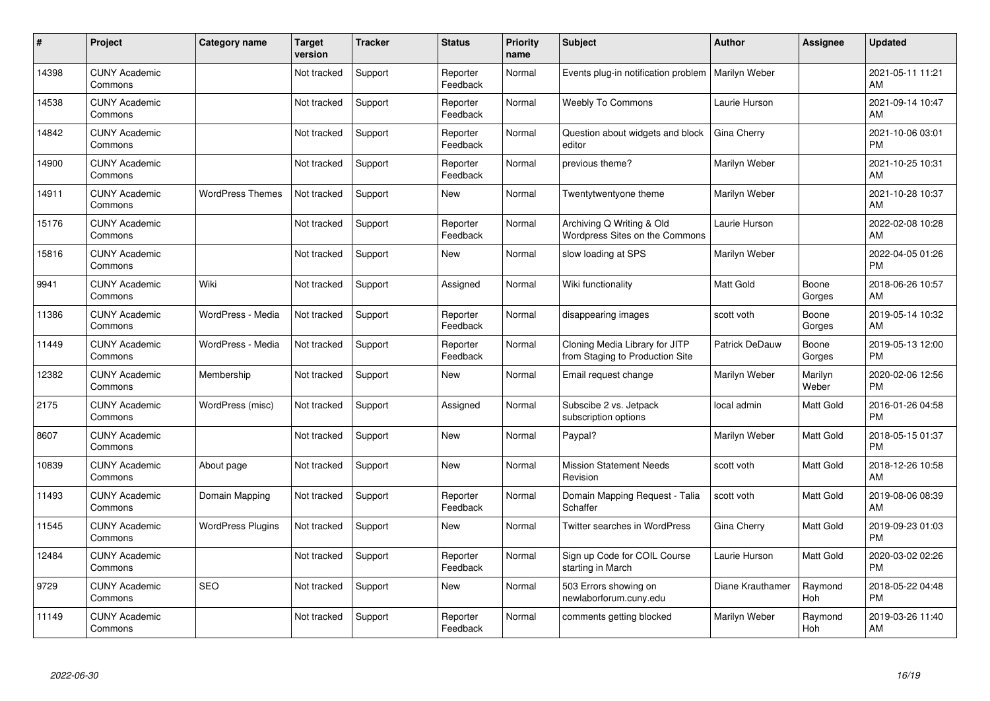| #     | Project                         | <b>Category name</b>     | <b>Target</b><br>version | <b>Tracker</b> | <b>Status</b>        | <b>Priority</b><br>name | <b>Subject</b>                                                    | <b>Author</b>    | <b>Assignee</b>  | <b>Updated</b>                |
|-------|---------------------------------|--------------------------|--------------------------|----------------|----------------------|-------------------------|-------------------------------------------------------------------|------------------|------------------|-------------------------------|
| 14398 | <b>CUNY Academic</b><br>Commons |                          | Not tracked              | Support        | Reporter<br>Feedback | Normal                  | Events plug-in notification problem                               | Marilyn Weber    |                  | 2021-05-11 11:21<br>AM        |
| 14538 | <b>CUNY Academic</b><br>Commons |                          | Not tracked              | Support        | Reporter<br>Feedback | Normal                  | Weebly To Commons                                                 | Laurie Hurson    |                  | 2021-09-14 10:47<br>AM        |
| 14842 | <b>CUNY Academic</b><br>Commons |                          | Not tracked              | Support        | Reporter<br>Feedback | Normal                  | Question about widgets and block<br>editor                        | Gina Cherry      |                  | 2021-10-06 03:01<br><b>PM</b> |
| 14900 | <b>CUNY Academic</b><br>Commons |                          | Not tracked              | Support        | Reporter<br>Feedback | Normal                  | previous theme?                                                   | Marilyn Weber    |                  | 2021-10-25 10:31<br>AM        |
| 14911 | <b>CUNY Academic</b><br>Commons | <b>WordPress Themes</b>  | Not tracked              | Support        | <b>New</b>           | Normal                  | Twentytwentyone theme                                             | Marilyn Weber    |                  | 2021-10-28 10:37<br>AM        |
| 15176 | <b>CUNY Academic</b><br>Commons |                          | Not tracked              | Support        | Reporter<br>Feedback | Normal                  | Archiving Q Writing & Old<br>Wordpress Sites on the Commons       | Laurie Hurson    |                  | 2022-02-08 10:28<br>AM        |
| 15816 | <b>CUNY Academic</b><br>Commons |                          | Not tracked              | Support        | New                  | Normal                  | slow loading at SPS                                               | Marilyn Weber    |                  | 2022-04-05 01:26<br><b>PM</b> |
| 9941  | <b>CUNY Academic</b><br>Commons | Wiki                     | Not tracked              | Support        | Assigned             | Normal                  | Wiki functionality                                                | <b>Matt Gold</b> | Boone<br>Gorges  | 2018-06-26 10:57<br>AM        |
| 11386 | <b>CUNY Academic</b><br>Commons | WordPress - Media        | Not tracked              | Support        | Reporter<br>Feedback | Normal                  | disappearing images                                               | scott voth       | Boone<br>Gorges  | 2019-05-14 10:32<br>AM        |
| 11449 | <b>CUNY Academic</b><br>Commons | WordPress - Media        | Not tracked              | Support        | Reporter<br>Feedback | Normal                  | Cloning Media Library for JITP<br>from Staging to Production Site | Patrick DeDauw   | Boone<br>Gorges  | 2019-05-13 12:00<br><b>PM</b> |
| 12382 | <b>CUNY Academic</b><br>Commons | Membership               | Not tracked              | Support        | New                  | Normal                  | Email request change                                              | Marilyn Weber    | Marilyn<br>Weber | 2020-02-06 12:56<br><b>PM</b> |
| 2175  | <b>CUNY Academic</b><br>Commons | WordPress (misc)         | Not tracked              | Support        | Assigned             | Normal                  | Subscibe 2 vs. Jetpack<br>subscription options                    | local admin      | Matt Gold        | 2016-01-26 04:58<br><b>PM</b> |
| 8607  | <b>CUNY Academic</b><br>Commons |                          | Not tracked              | Support        | New                  | Normal                  | Paypal?                                                           | Marilyn Weber    | Matt Gold        | 2018-05-15 01:37<br><b>PM</b> |
| 10839 | <b>CUNY Academic</b><br>Commons | About page               | Not tracked              | Support        | New                  | Normal                  | <b>Mission Statement Needs</b><br>Revision                        | scott voth       | Matt Gold        | 2018-12-26 10:58<br>AM        |
| 11493 | <b>CUNY Academic</b><br>Commons | Domain Mapping           | Not tracked              | Support        | Reporter<br>Feedback | Normal                  | Domain Mapping Request - Talia<br>Schaffer                        | scott voth       | Matt Gold        | 2019-08-06 08:39<br>AM        |
| 11545 | <b>CUNY Academic</b><br>Commons | <b>WordPress Plugins</b> | Not tracked              | Support        | New                  | Normal                  | <b>Twitter searches in WordPress</b>                              | Gina Cherry      | Matt Gold        | 2019-09-23 01:03<br><b>PM</b> |
| 12484 | <b>CUNY Academic</b><br>Commons |                          | Not tracked              | Support        | Reporter<br>Feedback | Normal                  | Sign up Code for COIL Course<br>starting in March                 | Laurie Hurson    | Matt Gold        | 2020-03-02 02:26<br><b>PM</b> |
| 9729  | <b>CUNY Academic</b><br>Commons | <b>SEO</b>               | Not tracked              | Support        | New                  | Normal                  | 503 Errors showing on<br>newlaborforum.cuny.edu                   | Diane Krauthamer | Raymond<br>Hoh   | 2018-05-22 04:48<br><b>PM</b> |
| 11149 | <b>CUNY Academic</b><br>Commons |                          | Not tracked              | Support        | Reporter<br>Feedback | Normal                  | comments getting blocked                                          | Marilyn Weber    | Raymond<br>Hoh   | 2019-03-26 11:40<br>AM        |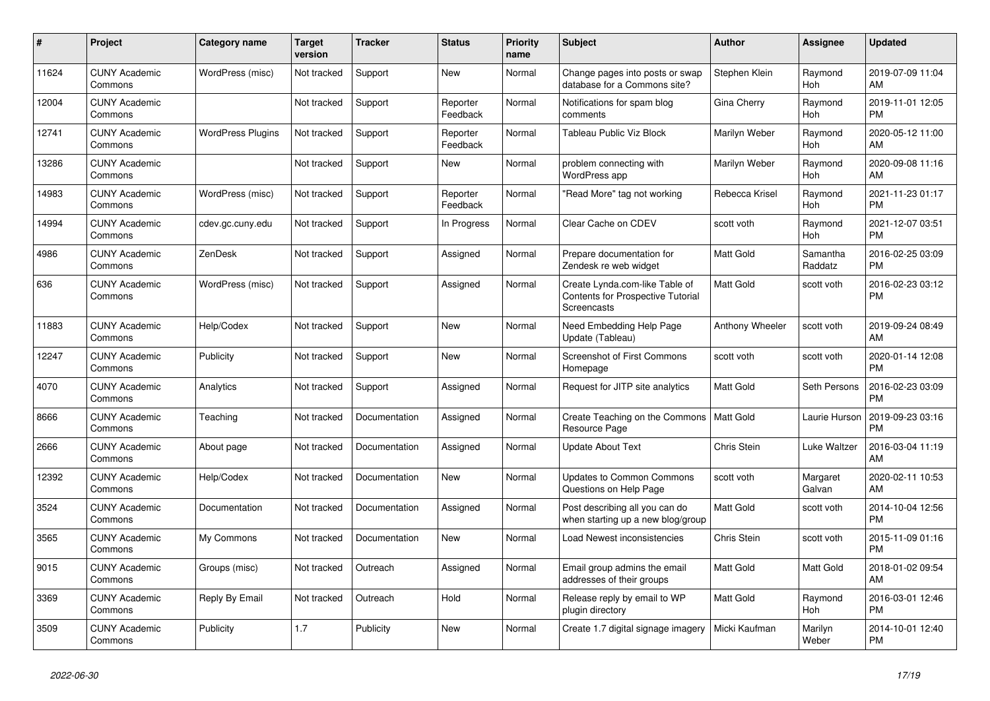| #     | <b>Project</b>                  | Category name            | <b>Target</b><br>version | <b>Tracker</b> | <b>Status</b>        | <b>Priority</b><br>name | <b>Subject</b>                                                                            | <b>Author</b>    | Assignee            | <b>Updated</b>                |
|-------|---------------------------------|--------------------------|--------------------------|----------------|----------------------|-------------------------|-------------------------------------------------------------------------------------------|------------------|---------------------|-------------------------------|
| 11624 | <b>CUNY Academic</b><br>Commons | WordPress (misc)         | Not tracked              | Support        | New                  | Normal                  | Change pages into posts or swap<br>database for a Commons site?                           | Stephen Klein    | Raymond<br>Hoh      | 2019-07-09 11:04<br>AM        |
| 12004 | <b>CUNY Academic</b><br>Commons |                          | Not tracked              | Support        | Reporter<br>Feedback | Normal                  | Notifications for spam blog<br>comments                                                   | Gina Cherry      | Raymond<br>Hoh      | 2019-11-01 12:05<br><b>PM</b> |
| 12741 | <b>CUNY Academic</b><br>Commons | <b>WordPress Plugins</b> | Not tracked              | Support        | Reporter<br>Feedback | Normal                  | Tableau Public Viz Block                                                                  | Marilyn Weber    | Raymond<br>Hoh      | 2020-05-12 11:00<br>AM        |
| 13286 | <b>CUNY Academic</b><br>Commons |                          | Not tracked              | Support        | <b>New</b>           | Normal                  | problem connecting with<br><b>WordPress app</b>                                           | Marilyn Weber    | Raymond<br>Hoh      | 2020-09-08 11:16<br>AM        |
| 14983 | <b>CUNY Academic</b><br>Commons | WordPress (misc)         | Not tracked              | Support        | Reporter<br>Feedback | Normal                  | "Read More" tag not working                                                               | Rebecca Krisel   | Raymond<br>Hoh      | 2021-11-23 01:17<br><b>PM</b> |
| 14994 | <b>CUNY Academic</b><br>Commons | cdev.gc.cuny.edu         | Not tracked              | Support        | In Progress          | Normal                  | Clear Cache on CDEV                                                                       | scott voth       | Raymond<br>Hoh      | 2021-12-07 03:51<br><b>PM</b> |
| 4986  | <b>CUNY Academic</b><br>Commons | ZenDesk                  | Not tracked              | Support        | Assigned             | Normal                  | Prepare documentation for<br>Zendesk re web widget                                        | <b>Matt Gold</b> | Samantha<br>Raddatz | 2016-02-25 03:09<br><b>PM</b> |
| 636   | <b>CUNY Academic</b><br>Commons | WordPress (misc)         | Not tracked              | Support        | Assigned             | Normal                  | Create Lynda.com-like Table of<br><b>Contents for Prospective Tutorial</b><br>Screencasts | <b>Matt Gold</b> | scott voth          | 2016-02-23 03:12<br><b>PM</b> |
| 11883 | <b>CUNY Academic</b><br>Commons | Help/Codex               | Not tracked              | Support        | New                  | Normal                  | Need Embedding Help Page<br>Update (Tableau)                                              | Anthony Wheeler  | scott voth          | 2019-09-24 08:49<br>AM        |
| 12247 | <b>CUNY Academic</b><br>Commons | Publicity                | Not tracked              | Support        | New                  | Normal                  | <b>Screenshot of First Commons</b><br>Homepage                                            | scott voth       | scott voth          | 2020-01-14 12:08<br><b>PM</b> |
| 4070  | <b>CUNY Academic</b><br>Commons | Analytics                | Not tracked              | Support        | Assigned             | Normal                  | Request for JITP site analytics                                                           | Matt Gold        | Seth Persons        | 2016-02-23 03:09<br><b>PM</b> |
| 8666  | <b>CUNY Academic</b><br>Commons | Teaching                 | Not tracked              | Documentation  | Assigned             | Normal                  | Create Teaching on the Commons<br>Resource Page                                           | Matt Gold        | Laurie Hurson       | 2019-09-23 03:16<br><b>PM</b> |
| 2666  | <b>CUNY Academic</b><br>Commons | About page               | Not tracked              | Documentation  | Assigned             | Normal                  | <b>Update About Text</b>                                                                  | Chris Stein      | Luke Waltzer        | 2016-03-04 11:19<br>AM        |
| 12392 | <b>CUNY Academic</b><br>Commons | Help/Codex               | Not tracked              | Documentation  | <b>New</b>           | Normal                  | <b>Updates to Common Commons</b><br>Questions on Help Page                                | scott voth       | Margaret<br>Galvan  | 2020-02-11 10:53<br>AM        |
| 3524  | <b>CUNY Academic</b><br>Commons | Documentation            | Not tracked              | Documentation  | Assigned             | Normal                  | Post describing all you can do<br>when starting up a new blog/group                       | <b>Matt Gold</b> | scott voth          | 2014-10-04 12:56<br><b>PM</b> |
| 3565  | <b>CUNY Academic</b><br>Commons | My Commons               | Not tracked              | Documentation  | New                  | Normal                  | Load Newest inconsistencies                                                               | Chris Stein      | scott voth          | 2015-11-09 01:16<br><b>PM</b> |
| 9015  | <b>CUNY Academic</b><br>Commons | Groups (misc)            | Not tracked              | Outreach       | Assigned             | Normal                  | Email group admins the email<br>addresses of their groups                                 | <b>Matt Gold</b> | Matt Gold           | 2018-01-02 09:54<br>AM        |
| 3369  | <b>CUNY Academic</b><br>Commons | Reply By Email           | Not tracked              | Outreach       | Hold                 | Normal                  | Release reply by email to WP<br>plugin directory                                          | <b>Matt Gold</b> | Raymond<br>Hoh      | 2016-03-01 12:46<br><b>PM</b> |
| 3509  | <b>CUNY Academic</b><br>Commons | Publicity                | 1.7                      | Publicity      | <b>New</b>           | Normal                  | Create 1.7 digital signage imagery                                                        | Micki Kaufman    | Marilyn<br>Weber    | 2014-10-01 12:40<br><b>PM</b> |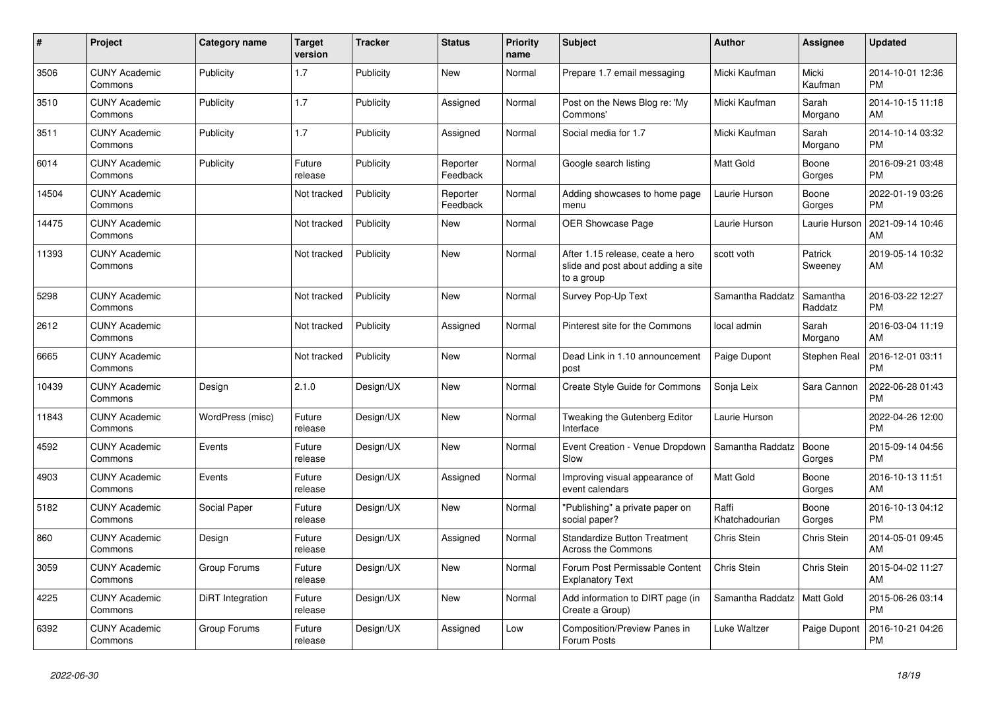| #     | <b>Project</b>                  | Category name    | <b>Target</b><br>version | <b>Tracker</b> | <b>Status</b>        | <b>Priority</b><br>name | <b>Subject</b>                                                                       | <b>Author</b>           | Assignee            | <b>Updated</b>                |
|-------|---------------------------------|------------------|--------------------------|----------------|----------------------|-------------------------|--------------------------------------------------------------------------------------|-------------------------|---------------------|-------------------------------|
| 3506  | <b>CUNY Academic</b><br>Commons | Publicity        | 1.7                      | Publicity      | New                  | Normal                  | Prepare 1.7 email messaging                                                          | Micki Kaufman           | Micki<br>Kaufman    | 2014-10-01 12:36<br><b>PM</b> |
| 3510  | <b>CUNY Academic</b><br>Commons | Publicity        | 1.7                      | Publicity      | Assigned             | Normal                  | Post on the News Blog re: 'My<br>Commons'                                            | Micki Kaufman           | Sarah<br>Morgano    | 2014-10-15 11:18<br>AM        |
| 3511  | <b>CUNY Academic</b><br>Commons | Publicity        | 1.7                      | Publicity      | Assigned             | Normal                  | Social media for 1.7                                                                 | Micki Kaufman           | Sarah<br>Morgano    | 2014-10-14 03:32<br><b>PM</b> |
| 6014  | <b>CUNY Academic</b><br>Commons | Publicity        | Future<br>release        | Publicity      | Reporter<br>Feedback | Normal                  | Google search listing                                                                | <b>Matt Gold</b>        | Boone<br>Gorges     | 2016-09-21 03:48<br><b>PM</b> |
| 14504 | <b>CUNY Academic</b><br>Commons |                  | Not tracked              | Publicity      | Reporter<br>Feedback | Normal                  | Adding showcases to home page<br>menu                                                | Laurie Hurson           | Boone<br>Gorges     | 2022-01-19 03:26<br><b>PM</b> |
| 14475 | <b>CUNY Academic</b><br>Commons |                  | Not tracked              | Publicity      | New                  | Normal                  | OER Showcase Page                                                                    | Laurie Hurson           | Laurie Hurson       | 2021-09-14 10:46<br>AM        |
| 11393 | <b>CUNY Academic</b><br>Commons |                  | Not tracked              | Publicity      | <b>New</b>           | Normal                  | After 1.15 release, ceate a hero<br>slide and post about adding a site<br>to a group | scott voth              | Patrick<br>Sweeney  | 2019-05-14 10:32<br>AM        |
| 5298  | <b>CUNY Academic</b><br>Commons |                  | Not tracked              | Publicity      | New                  | Normal                  | Survey Pop-Up Text                                                                   | Samantha Raddatz        | Samantha<br>Raddatz | 2016-03-22 12:27<br><b>PM</b> |
| 2612  | <b>CUNY Academic</b><br>Commons |                  | Not tracked              | Publicity      | Assigned             | Normal                  | Pinterest site for the Commons                                                       | local admin             | Sarah<br>Morgano    | 2016-03-04 11:19<br>AM        |
| 6665  | <b>CUNY Academic</b><br>Commons |                  | Not tracked              | Publicity      | <b>New</b>           | Normal                  | Dead Link in 1.10 announcement<br>post                                               | Paige Dupont            | Stephen Real        | 2016-12-01 03:11<br><b>PM</b> |
| 10439 | <b>CUNY Academic</b><br>Commons | Design           | 2.1.0                    | Design/UX      | New                  | Normal                  | Create Style Guide for Commons                                                       | Sonja Leix              | Sara Cannon         | 2022-06-28 01:43<br><b>PM</b> |
| 11843 | <b>CUNY Academic</b><br>Commons | WordPress (misc) | Future<br>release        | Design/UX      | New                  | Normal                  | Tweaking the Gutenberg Editor<br>Interface                                           | Laurie Hurson           |                     | 2022-04-26 12:00<br><b>PM</b> |
| 4592  | <b>CUNY Academic</b><br>Commons | Events           | Future<br>release        | Design/UX      | <b>New</b>           | Normal                  | Event Creation - Venue Dropdown<br>Slow                                              | Samantha Raddatz        | Boone<br>Gorges     | 2015-09-14 04:56<br><b>PM</b> |
| 4903  | <b>CUNY Academic</b><br>Commons | Events           | Future<br>release        | Design/UX      | Assigned             | Normal                  | Improving visual appearance of<br>event calendars                                    | <b>Matt Gold</b>        | Boone<br>Gorges     | 2016-10-13 11:51<br>AM        |
| 5182  | <b>CUNY Academic</b><br>Commons | Social Paper     | Future<br>release        | Design/UX      | New                  | Normal                  | "Publishing" a private paper on<br>social paper?                                     | Raffi<br>Khatchadourian | Boone<br>Gorges     | 2016-10-13 04:12<br><b>PM</b> |
| 860   | <b>CUNY Academic</b><br>Commons | Design           | Future<br>release        | Design/UX      | Assigned             | Normal                  | <b>Standardize Button Treatment</b><br><b>Across the Commons</b>                     | Chris Stein             | <b>Chris Stein</b>  | 2014-05-01 09:45<br>AM        |
| 3059  | <b>CUNY Academic</b><br>Commons | Group Forums     | Future<br>release        | Design/UX      | <b>New</b>           | Normal                  | Forum Post Permissable Content<br><b>Explanatory Text</b>                            | Chris Stein             | Chris Stein         | 2015-04-02 11:27<br>AM        |
| 4225  | <b>CUNY Academic</b><br>Commons | DiRT Integration | Future<br>release        | Design/UX      | New                  | Normal                  | Add information to DIRT page (in<br>Create a Group)                                  | Samantha Raddatz        | Matt Gold           | 2015-06-26 03:14<br><b>PM</b> |
| 6392  | <b>CUNY Academic</b><br>Commons | Group Forums     | Future<br>release        | Design/UX      | Assigned             | Low                     | Composition/Preview Panes in<br>Forum Posts                                          | Luke Waltzer            | Paige Dupont        | 2016-10-21 04:26<br><b>PM</b> |